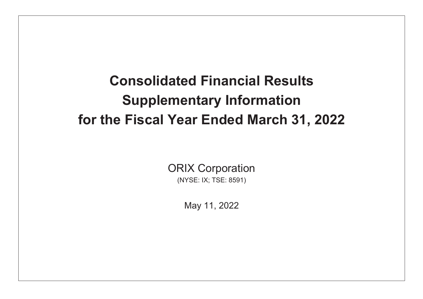# **Consolidated Financial Results Supplementary Information** for the Fiscal Year Ended March 31, 2022

**ORIX Corporation** (NYSE: IX; TSE: 8591)

May 11, 2022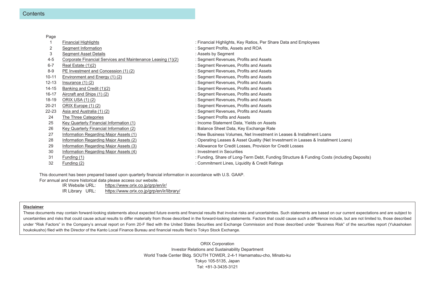| Page      |                                                             |                                                                                            |
|-----------|-------------------------------------------------------------|--------------------------------------------------------------------------------------------|
|           | Financial Highlights                                        | : Financial Highlights, Key Ratios, Per Share Data and Employees                           |
| 2         | Segment Information                                         | : Segment Profits, Assets and ROA                                                          |
| 3         | <b>Segment Asset Details</b>                                | : Assets by Segment                                                                        |
| $4 - 5$   | Corporate Financial Services and Maintenance Leasing (1)(2) | : Segment Revenues, Profits and Assets                                                     |
| $6 - 7$   | Real Estate (1)(2)                                          | : Segment Revenues, Profits and Assets                                                     |
| $8 - 9$   | PE Investment and Concession (1) (2)                        | : Segment Revenues, Profits and Assets                                                     |
| $10 - 11$ | Environment and Energy (1) (2)                              | : Segment Revenues, Profits and Assets                                                     |
| $12 - 13$ | Insurance $(1)$ $(2)$                                       | : Segment Revenues, Profits and Assets                                                     |
| $14 - 15$ | Banking and Credit (1)(2)                                   | : Segment Revenues, Profits and Assets                                                     |
| $16 - 17$ | Aircraft and Ships (1) (2)                                  | : Segment Revenues, Profits and Assets                                                     |
| 18-19     | ORIX USA (1) (2)                                            | : Segment Revenues, Profits and Assets                                                     |
| $20 - 21$ | ORIX Europe (1) (2)                                         | : Segment Revenues, Profits and Assets                                                     |
| $22 - 23$ | Asia and Australia (1) (2)                                  | : Segment Revenues, Profits and Assets                                                     |
| 24        | The Three Categories                                        | : Segment Profits and Assets                                                               |
| 25        | Key Quarterly Financial Information (1)                     | : Income Statement Data, Yields on Assets                                                  |
| 26        | Key Quarterly Financial Information (2)                     | : Balance Sheet Data, Key Exchange Rate                                                    |
| 27        | Information Regarding Major Assets (1)                      | : New Business Volumes, Net Investment in Leases & Installment Loans                       |
| 28        | Information Regarding Major Assets (2)                      | : Operating Leases & Asset Quality (Net Investment in Leases & Installment Loans)          |
| 29        | Information Regarding Major Assets (3)                      | : Allowance for Credit Losses, Provision for Credit Losses                                 |
| 30        | Information Regarding Major Assets (4)                      | : Investment in Securities                                                                 |
| 31        | Funding (1)                                                 | : Funding, Share of Long-Term Debt, Funding Structure & Funding Costs (including Deposits) |
| 32        | Funding (2)                                                 | : Commitment Lines, Liquidity & Credit Ratings                                             |
|           |                                                             |                                                                                            |

This document has been prepared based upon quarterly financial information in accordance with U.S. GAAP.

For annual and more historical data please access our website.

https://www.orix.co.jp/grp/en/ir/ IR Website URL: https://www.orix.co.jp/grp/en/ir/library/ IR Library URL:

#### **Disclaimer**

These documents may contain forward-looking statements about expected future events and financial results that involve risks and uncertainties. Such statements are based on our current expectations and are subject to uncertainties and risks that could cause actual results to differ materially from those described in the forward-looking statements. Factors that could cause such a difference include, but are not limited to, those describ under "Risk Factors" in the Company's annual report on Form 20-F filed with the United States Securities and Exchange Commission and those described under "Business Risk" of the securities report (Yukashoken houkokusho) filed with the Director of the Kanto Local Finance Bureau and financial results filed to Tokyo Stock Exchange.

> **ORIX Corporation** Investor Relations and Sustainability Department World Trade Center Bldg. SOUTH TOWER, 2-4-1 Hamamatsu-cho, Minato-ku Tokyo 105-5135, Japan Tel: +81-3-3435-3121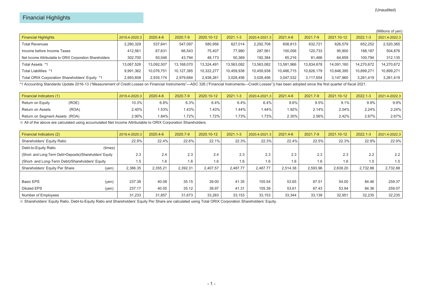|                                                          |               |            |            |            |              |               |            |            |            |              | (Millions of yen) |
|----------------------------------------------------------|---------------|------------|------------|------------|--------------|---------------|------------|------------|------------|--------------|-------------------|
| <b>Financial Highlights</b>                              | 2019.4-2020.3 | 2020.4-6   | 2020.7-9   | 2020.10-12 | $2021.1 - 3$ | 2020.4-2021.3 | 2021.4-6   | 2021.7-9   | 2021.10-12 | $2022.1 - 3$ | 2021.4-2022.3     |
| <b>Total Revenues</b>                                    | 2,280,329     | 537.641    | 547.097    | 580,956    | 627.014      | 2,292,708     | 608.813    | 632,721    | 626,579    | 652,252      | 2,520,365         |
| Income before Income Taxes                               | 412.561       | 67.631     | 66,543     | 75.407     | 77.980       | 287.561       | 100.056    | 120.733    | 95.900     | 188.187      | 504,876           |
| Net Income Attributable to ORIX Corporation Shareholders | 302,700       | 50.048     | 43.794     | 48.173     | 50,369       | 192.384       | 65.216     | 81.466     | 64,659     | 100.794      | 312,135           |
| Total Assets *1                                          | 13.067.528    | 13,092,507 | 13,168,070 | 13,324,491 | 13,563,082   | 13,563,082    | 13,581,966 | 13,834,678 | 14,091,160 | 14,270,672   | 14,270,672        |
| Total Liabilities *1                                     | 9,991,362     | 10,076,751 | 10,127,385 | 10,322,277 | 10,459,938   | 10,459,938    | 10.466.715 | 10,626,179 | 10,846,395 | 10,899,271   | 10,899,271        |
| Total ORIX Corporation Shareholders' Equity *1           | 2,993,608     | 2,935,174  | 2,979,684  | 2,938,261  | 3,028,456    | 3,028,456     | 3,047,532  | 3,117,654  | 3,147,960  | 3,261,419    | 3,261,419         |

\*1 Accounting Standards Update 2016-13 ("Measurement of Credit Losses on Financial Instruments"—ASC 326 ("Financial Instruments—Credit Losses")) has been adopted since the first quarter of fiscal 2021.

| Financial Indicators (1)       | 2019.4-2020.3 | 2020.4-6 | 2020.7-9 | 2020.10-12 | $2021.1 - 3$ | 2020.4-2021.3 | 2021.4-6 | 2021.7-9 | 2021.10-12 | $2022.1 - 3$ | 2021.4-2022.3 |
|--------------------------------|---------------|----------|----------|------------|--------------|---------------|----------|----------|------------|--------------|---------------|
| (ROE)<br>Return on Equity      | 10.3%         | $6.8\%$  | 6.3%     | 6.4%       | 6.4%         | 6.4%          | 8.6%     | 9.5%     | 9.1%       | 9.9%         | $9.9\%$       |
| (ROA)<br>Return on Assets      | 2.40%         | .53%     | .43%     | .43%       | .44%         | .44%          | .92%     | 2.14%    | 2.04%      | 2.24%        | 2.24%         |
| Return on Segment Assets (ROA) | 2.90%         | .84%     | .72%     | .72%       | .73%         | .73%          | 2.30%    | 2.56%    | 2.42%      | 2.67%        | 2.67%         |

※ All of the above are calculated using accumulated Net Income Attributable to ORIX Corporation Shareholders.

| Financial Indicators (2)                                  |         | 2019.4-2020.3 | 2020.4-6 | 2020.7-9 | 2020.10-12 | $2021.1 - 3$ | 2020.4-2021.3 | 2021.4-6 | 2021.7-9 | 2021.10-12 | $2022.1 - 3$ | 2021.4-2022.3 |
|-----------------------------------------------------------|---------|---------------|----------|----------|------------|--------------|---------------|----------|----------|------------|--------------|---------------|
| Shareholders' Equity Ratio                                |         | 22.9%         | 22.4%    | 22.6%    | 22.1%      | 22.3%        | 22.3%         | 22.4%    | 22.5%    | 22.3%      | 22.9%        | 22.9%         |
| Debt-to-Equity Ratio                                      | (times) |               |          |          |            |              |               |          |          |            |              |               |
| (Short- and Long-Term Debt+Deposits)/Shareholders' Equity |         | 2.3           | 2.4      | 2.3      | 2.4        | 2.3          | 2.3           | 2.3      | 2.3      | 2.3        | 2.2          | 2.2           |
| (Short- and Long-Term Debt)/Shareholders' Equity          |         | 1.5           | 1.6      | 1.6      | 1.6        | 1.6          | 1.6           | 1.6      | 1.6      | 1.6        | 1.5          | 1.5           |
| Shareholders' Equity Per Share                            | (yen)   | 2,386.35      | 2,355.21 | 2,392.31 | 2.407.57   | 2.487.77     | 2.487.77      | 2.514.38 | 2.593.96 | 2,638.20   | 2.732.88     | 2,732.88      |
|                                                           |         |               |          |          |            |              |               |          |          |            |              |               |
| Basic EPS                                                 | (yen)   | 237.38        | 40.08    | 35.15    | 39.00      | 41.35        | 155.54        | 53.65    | 67.51    | 54.00      | 84.46        | 259.37        |
| <b>Diluted EPS</b>                                        | (yen)   | 237.17        | 40.05    | 35.12    | 38.97      | 41.31        | 155.39        | 53.61    | 67.43    | 53.94      | 84.36        | 259.07        |
| Number of Employees                                       |         | 31,233        | 31,857   | 31.673   | 33,283     | 33,153       | 33,153        | 33,344   | 33,139   | 32,951     | 32,235       | 32,235        |

※ Shareholders' Equity Ratio, Debt-to-Equity Ratio and Shareholders' Equity Per Share are calculated using Total ORIX Corporation Shareholders' Equity.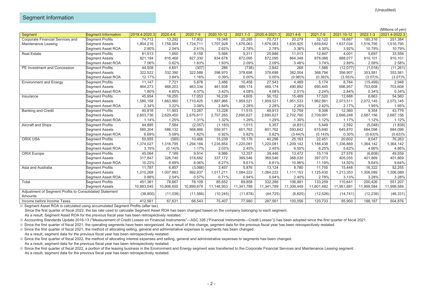## Segment Information

|                                                         |                        |               |            |            |            |              |               |            |            |            |              | (Millions of yen) |
|---------------------------------------------------------|------------------------|---------------|------------|------------|------------|--------------|---------------|------------|------------|------------|--------------|-------------------|
| Segment                                                 | Segment Information    | 2019.4-2020.3 | 2020.4-6   | 2020.7-9   | 2020.10-12 | $2021.1 - 3$ | 2020.4-2021.3 | 2021.4-6   | 2021.7-9   | 2021.10-12 | $2022.1 - 3$ | 2021.4-2022.3     |
| Corporate Financial Services and                        | Segment Profits        | 74,712        | 13,292     | 17,802     | 19,348     | 20,285       | 70,727        | 20,279     | 32,122     | 18,667     | 180,316      | 251,384           |
| Maintenance Leasing                                     | <b>Segment Assets</b>  | 1,804,216     | 1,758,504  | 1,724,711  | 1,707,928  | 1,676,063    | 1,676,063     | 1,635,925  | 1,659,642  | 1,637,034  | 1,516,795    | 1,516,795         |
|                                                         | Segment Asset ROA      | 2.80%         | 2.04%      | 2.41%      | 2.62%      | 2.78%        | 2.78%         | 3.36%      | 4.30%      | 3.92%      | 10.79%       | 10.79%            |
| <b>Real Estate</b>                                      | <b>Segment Profits</b> | 81,513        | 1,850      | 9,159      | 5,566      | 9,311        | 25,886        | 11,013     | 12,847     | 4,001      | 5,697        | 33,558            |
|                                                         | <b>Segment Assets</b>  | 821,194       | 816,468    | 827,330    | 834,678    | 872,095      | 872,095       | 864,348    | 878,068    | 888,077    | 910,101      | 910,101           |
|                                                         | Segment Asset ROA      | 7.06%         | 0.62%      | 1.83%      | 1.83%      | 2.09%        | 2.09%         | 3.48%      | 3.74%      | 2.89%      | 2.58%        | 2.58%             |
| PE Investment and Concession                            | Segment Profits        | 44,508        | 4,601      | (307)      | 286        | (738)        | 3,842         | 268        | 1,566      | (12,077)   | (1,018)      | (11, 261)         |
|                                                         | <b>Segment Assets</b>  | 322,522       | 332,390    | 322,588    | 398,970    | 378,698      | 378,698       | 382,004    | 368,794    | 356,907    | 353,581      | 353,581           |
|                                                         | Segment Asset ROA      | 12.17%        | 3.84%      | 1.16%      | 0.39%      | 0.00%        | 0.00%         | (0.98)%    | (0.39)%    | (3.55)%    | (3.07)%      | (3.07)%           |
| <b>Environment and Energy</b>                           | Segment Profits        | 11,147        | 7,721      | 5,878      | 3,486      | 10,458       | 27,543        | 4,489      | 5.174      | 8,784      | (15, 499)    | 2,948             |
|                                                         | <b>Segment Assets</b>  | 464,273       | 468,203    | 463,334    | 461,938    | 489,174      | 489,174       | 490,892    | 695,445    | 696,957    | 703,608      | 703,608           |
|                                                         | Segment Asset ROA      | 1.80%         | 4.65%      | 4.07%      | 3.42%      | 4.08%        | 4.08%         | 2.51%      | 2.24%      | 2.84%      | 0.34%        | 0.34%             |
| Insurance                                               | <b>Segment Profits</b> | 45,954        | 18,255     | 17,053     | 16,239     | 4,605        | 56,152        | 15,489     | 17,520     | 12,688     | 8,863        | 54,560            |
|                                                         | <b>Segment Assets</b>  | 1,580,158     | 1,663,980  | 1,710,425  | 1,887,966  | 1,959,521    | 1,959,521     | 1,951,533  | 1,962,961  | 2,073,511  | 2,072,145    | 2,072,145         |
|                                                         | Segment Asset ROA      | 2.34%         | 3.22%      | 3.08%      | 2.84%      | 2.28%        | 2.28%         | 2.28%      | 2.42%      | 2.17%      | 1.95%        | 1.95%             |
| <b>Banking and Credit</b>                               | <b>Segment Profits</b> | 40,816        | 11,903     | 13,267     | 13,228     | 11,515       | 49,913        | 12,759     | 9,306      | 12,360     | 9,354        | 43,779            |
|                                                         | <b>Seament Assets</b>  | 2,603,736     | 2,629,450  | 2,676,617  | 2,707,265  | 2,690,627    | 2,690,627     | 2,702,780  | 2,709,991  | 2,698,248  | 2,687,156    | 2,687,156         |
|                                                         | Segment Asset ROA      | 1.14%         | 1.25%      | 1.31%      | 1.32%      | 1.29%        | 1.29%         | 1.30%      | 1.12%      | 1.17%      | 1.12%        | 1.12%             |
| Aircraft and Ships                                      | Segment Profits        | 44,885        | 7,584      | (2,057)    | (1, 183)   | 1,013        | 5,357         | (4, 831)   | 5,449      | 2,592      | (5,048)      | (1,838)           |
|                                                         | <b>Segment Assets</b>  | 585,304       | 586,132    | 568,866    | 559,971    | 601,762      | 601,762       | 593,642    | 615,640    | 645,870    | 684,098      | 684,098           |
|                                                         | Segment Asset ROA      | 6.69%         | 5.09%      | 1.82%      | 0.92%      | 0.82%        | 0.82%         | (3.44)%    | (0.14)%    | 0.30%      | (0.63)%      | (0.63)%           |
| ORIX USA                                                | Segment Profits        | 50,955        | (585)      | 10,466     | 15,239     | 15,176       | 40,296        | 25,163     | 22,451     | 20,602     | 8,047        | 76,263            |
|                                                         | <b>Segment Assets</b>  | 1,374,027     | 1,316,795  | 1,294,184  | 1,235,854  | 1,220,081    | 1,220,081     | 1,209,142  | 1,188,438  | 1,336,869  | 1,364,142    | ,364,142          |
|                                                         | Segment Asset ROA      | 3.19%         | (0.14)%    | 1.17%      | 2.03%      | 2.45%        | 2.45%         | 6.55%      | 6.25%      | 5.62%      | 4.66%        | 4.66%             |
| <b>ORIX Europe</b>                                      | <b>Segment Profits</b> | 45,084        | 7,189      | 9,914      | 9,986      | 12,357       | 39,446        | 13,472     | 15,119     | 27,576     | (6,608)      | 49,559            |
|                                                         | <b>Segment Assets</b>  | 317,847       | 326,740    | 318,682    | 337,172    | 369,546      | 369,546       | 368,030    | 397,073    | 405,055    | 401,869      | 401,869           |
|                                                         | Segment Asset ROA      | 10.23%        | 6.69%      | 8.06%      | 8.27%      | 8.61%        | 8.61%         | 10.96%     | 11.19%     | 14.50%     | 9.64%        | 9.64%             |
| Asia and Australia                                      | Segment Profits        | 11.787        | 6.857      | (3,066)    | 3.457      | 5.876        | 13.124        | 8.780      | 11.705     | 15.448     | 16.322       | 52,255            |
|                                                         | <b>Segment Assets</b>  | 1,010,268     | 1,007,993  | 992,937    | 1,017,211  | 1,084,222    | 1,084,222     | 1.111.153  | 1,125,430  | 1,213,353  | 1,306,089    | 1,306,089         |
|                                                         | Segment Asset ROA      | 0.88%         | 2.04%      | 0.57%      | 0.71%      | 0.94%        | 0.94%         | 2.40%      | 2.78%      | 3.13%      | 3.28%        | 3.28%             |
| Total                                                   | Segment Profits        | 451,361       | 78,667     | 78,109     | 85,652     | 89,858       | 332,286       | 106,881    | 133,259    | 110,641    | 200.426      | 551,207           |
|                                                         | <b>Segment Assets</b>  | 10,883,545    | 10,906,655 | 10,899,674 | 11,148,953 | 11,341,789   | 11.341.789    | 11,309,449 | 11.601.482 | 11,951,881 | 11,999,584   | 11,999,584        |
| Adjustment of Segment Profits to Consolidated Statement |                        |               |            |            |            |              |               |            |            |            |              |                   |
| Amounts                                                 |                        | (38, 800)     | (11,036)   | (11,566)   | (10, 245)  | (11, 878)    | (44, 725)     | (6, 825)   | (12, 526)  | (14, 741)  | (12, 239)    | (46, 331)         |
| Income before Income Taxes                              |                        | 412,561       | 67,631     | 66,543     | 75,407     | 77,980       | 287,561       | 100,056    | 120,733    | 95,900     | 188,187      | 504,876           |

※ Segment Asset ROA is calculated using accumulated Segment Profits (after tax).

Since the first quarter of fiscal 2022, the tax rate used to calculate Segment Asset ROA has been changed based on the company belonging to each segment.

As a result, Segment Asset ROA for the previous fiscal year has been retrospectively restated.

※ Accounting Standards Update 2016-13 ("Measurement of Credit Losses on Financial Instruments"―ASC 326 ("Financial Instruments―Credit Losses")) has been adopted since the first quarter of fiscal 2021.

※ Since the first quarter of fiscal 2021, the operating segments have been reorganized. As a result of this change, segment data for the previous fiscal year has been retrospectively restated.

※ Since the first quarter of fiscal 2021, the method of allocating selling, general and administrative expenses to segments has been changed.

As a result, segment data for the previous fiscal year has been retrospectively restated.

※ Since the first quarter of fiscal 2022, the method of allocating interest expenses and selling, general and administrative expenses to segments has been changed. As a result, segment data for the previous fiscal year has been retrospectively restated.

※ Since the first quarter of fiscal 2022, a portion of the leasing business in the Environment and Energy segment was transferred to the Corporate Financial Services and Maintenance Leasing segment. As a result, segment data for the previous fiscal year has been retrospectively restated.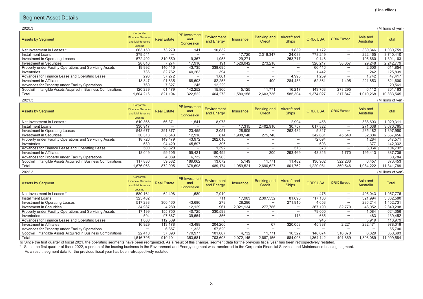# Segment Asset Details

| 2020.3                                                                                                           |                                                                      |                    |                                           |                           |                  |                                     |                              |                 |                    |                       | (Millions of yen) |
|------------------------------------------------------------------------------------------------------------------|----------------------------------------------------------------------|--------------------|-------------------------------------------|---------------------------|------------------|-------------------------------------|------------------------------|-----------------|--------------------|-----------------------|-------------------|
| <b>Assets by Segment</b>                                                                                         | Corporate<br><b>Financial Services</b><br>and Maintenance<br>Leasing | <b>Real Estate</b> | <b>PE</b> Investment<br>and<br>Concession | Environment<br>and Energy | <b>Insurance</b> | <b>Banking and</b><br><b>Credit</b> | Aircraft and<br><b>Ships</b> | <b>ORIX USA</b> | <b>ORIX Europe</b> | Asia and<br>Australia | Total             |
| Net Investment in Leases '                                                                                       | 663,150                                                              | 73,279             | 141                                       | 10,832                    |                  |                                     | 1,839                        | 1,172           |                    | 330,346               | 1,080,759         |
| <b>Installment Loans</b>                                                                                         | 379.541                                                              |                    |                                           |                           | 17.720           | 2.318.347                           | 24,088                       | 778.249         |                    | 222.465               | 3.740.410         |
| Investment in Operating Leases                                                                                   | 572,492                                                              | 319,550            | 9,367                                     | 1,958                     | 29,271           |                                     | 253,717                      | 9,148           |                    | 195,660               | 1,391,163         |
| <b>Investment in Securities</b>                                                                                  | 28,616                                                               | 7.274              | 17,916                                    | 191                       | 1.528.042        | 273,218                             |                              | 320,217         | 38.057             | 29,248                | 2,242,779         |
| Property under Facility Operations and Servicing Assets                                                          | 19,992                                                               | 140,416            | 43,735                                    | 338,695                   |                  |                                     |                              | 66,416          |                    | 2,600                 | 611,854           |
| Inventories                                                                                                      | 736                                                                  | 82,762             | 40,263                                    | 394                       |                  |                                     |                              | 1,442           |                    | 242                   | 125,839           |
| Advances for Finance Lease and Operating Lease                                                                   | 293                                                                  | 37,272             |                                           | 1,861                     |                  |                                     | 4,990                        | 1,259           |                    | 1.742                 | 47,417            |
| <b>Investment in Affiliates</b>                                                                                  | 18,347                                                               | 91,835             | 68,603                                    | 82,253                    |                  | 400                                 | 284,453                      | 52,361          | 1,495              | 221,853               | 821,600           |
| Advances for Property under Facility Operations                                                                  | 760                                                                  | 7,327              | 245                                       | 12,229                    |                  |                                     |                              |                 |                    |                       | 20,561            |
| Goodwill, Intangible Assets Acquired in Business Combinations                                                    | 120,289                                                              | 61,479             | 142,252                                   | 15,860                    | 5,125            | 11,771                              | 16,217                       | 143,763         | 278,295            | 6,112                 | 801,163           |
| Total                                                                                                            | 1,804,216                                                            | 821,194            | 322,522                                   | 464,273                   | 1,580,158        | 2,603,736                           | 585,304                      | 1,374,027       | 317,847            | 1,010,268             | 10,883,545        |
| 2021.3                                                                                                           |                                                                      |                    |                                           |                           |                  |                                     |                              |                 |                    |                       | (Millions of yen) |
|                                                                                                                  | Corporate                                                            |                    |                                           |                           |                  |                                     |                              |                 |                    |                       |                   |
| <b>Assets by Segment</b>                                                                                         | <b>Financial Services</b><br>and Maintenance<br>Leasing              | <b>Real Estate</b> | <b>PE</b> Investment<br>and<br>Concession | Environment<br>and Energy | <b>Insurance</b> | <b>Banking and</b><br><b>Credit</b> | Aircraft and<br><b>Ships</b> | <b>ORIX USA</b> | <b>ORIX Europe</b> | Asia and<br>Australia | <b>Total</b>      |
|                                                                                                                  | 610,366                                                              | 66,371             | 1,541                                     | 8,978                     |                  |                                     | 2,994                        | 458             |                    | 338,603               | 1,029,311         |
| Net Investment in Leases '<br><b>Installment Loans</b>                                                           | 330,917                                                              |                    |                                           |                           | 17,315           | 2.402.916                           | 30,757                       | 617,822         |                    | 271,038               | 3.670.765         |
| Investment in Operating Leases                                                                                   | 548,677                                                              | 291,877            | 23,455                                    | 2,051                     | 28,909           |                                     | 262,482                      | 5,317           |                    | 235,182               | 1,397,950         |
| <b>Investment in Securities</b>                                                                                  | 30,318                                                               | 8,543              | 12,918                                    | 814                       | 1,908,148        | 275,740                             |                              | 342,631         | 45,540             | 32,804                | 2,657,456         |
|                                                                                                                  | 18,726                                                               | 149,479            | 43.972                                    | 262,016                   |                  |                                     |                              | 72,094          |                    | 1,284                 | 547.571           |
| Property under Facility Operations and Servicing Assets                                                          | 630                                                                  | 94,429             | 45,597                                    | 396                       |                  |                                     |                              | 603             |                    | $\overline{377}$      | 142,032           |
| Inventories<br>Advances for Finance Lease and Operating Lease                                                    | 500                                                                  | 98.820             |                                           | 1.392                     |                  |                                     | 578                          | 378             |                    | 3.064                 | 104,732           |
| Investment in Affiliates                                                                                         | 18,049                                                               | 99,105             | 55,421                                    | 180,492                   |                  | 200                                 | 293,469                      | 43,816          | 1,770              | 195,413               | 887,735           |
|                                                                                                                  |                                                                      | 4,089              | 6,732                                     | 19,963                    |                  |                                     |                              |                 |                    |                       | 30,784            |
| Advances for Property under Facility Operations<br>Goodwill, Intangible Assets Acquired in Business Combinations | 117,880                                                              |                    | 189,062                                   | 13,072                    | 5,149            | 11,771                              | 11,482                       | 136,962         | 322,236            | 6,457                 | 873,453           |
|                                                                                                                  | 1.676.063                                                            | 59,382             | 378,698                                   | 489,174                   | 1,959,521        | 2,690,627                           | 601,762                      | 1,220,081       | 369,546            |                       | 11,341,789        |
| Total                                                                                                            |                                                                      | 872,095            |                                           |                           |                  |                                     |                              |                 |                    | 1,084,222             |                   |
| 2022.3                                                                                                           |                                                                      |                    |                                           |                           |                  |                                     |                              |                 |                    |                       | (Millions of yen) |
| <b>Assets by Segment</b>                                                                                         | Corporate<br><b>Financial Services</b><br>and Maintenance<br>Leasing | <b>Real Estate</b> | <b>PE</b> Investment<br>and<br>Concession | Environment<br>and Energy | <b>Insurance</b> | <b>Banking and</b><br>Credit        | Aircraft and<br><b>Ships</b> | <b>ORIX USA</b> | <b>ORIX Europe</b> | Asia and<br>Australia | <b>Total</b>      |
| Net Investment in Leases *                                                                                       | 580,161                                                              | 62,498             | 1,689                                     | 7,910                     |                  |                                     |                              | 475             |                    | 405,043               | 1,057,776         |
| <b>Installment Loans</b>                                                                                         | 325,482                                                              |                    |                                           | 711                       | 17.983           | 2,397,532                           | 81,695                       | 717,183         |                    | 321,994               | 3,862,580         |
| Investment in Operating Leases                                                                                   | 517,233                                                              | 300,460            | 43,686                                    | 279                       | 28,296           |                                     | 271,910                      | 4,653           |                    | 286,214               | 1,452,731         |
| <b>Investment in Securities</b>                                                                                  | 34,987                                                               | 4,289              | 12,129                                    | 961                       | 2,021,134        | 277,786                             |                              | 367,190         | 82,770             | 48,052                | 2,849,298         |
| Property under Facility Operations and Servicing Assets                                                          | 17.199                                                               | 155,750            | 40,725                                    | 330,598                   |                  |                                     |                              | 79,000          |                    | 1.084                 | 624,356           |
| Inventories                                                                                                      | 594                                                                  | 97,667             | 39,554                                    | 356                       |                  |                                     | 113                          | 685             |                    | 483                   | 139,452           |
| Advances for Finance Lease and Operating Lease                                                                   | 1.800                                                                | 112,309            |                                           | 6                         |                  |                                     |                              | 945             |                    | 3,919                 | 118,979           |
| Investment in Affiliates                                                                                         | 16,929                                                               | 113,178            | 43,498                                    | 204,260                   |                  | 67                                  | 320,058                      | 45,337          | 2,221              | 232,471               | 978,019           |
| Advances for Property under Facility Operations                                                                  |                                                                      | 6,857              | 1,323                                     | 57,520                    |                  |                                     |                              |                 |                    |                       | 65,700            |
| Goodwill, Intangible Assets Acquired in Business Combinations                                                    | 22.410                                                               | 57,093             | 170,977                                   | 101.007                   | 4,732            | 11.771                              | 10.322                       | 148.674         | 316.878            | 6.829                 | 850.693           |
| Total                                                                                                            | 1,516,795                                                            | 910,101            | 353,581                                   | 703,608                   | 2,072,145        | 2,687,156                           | 684,098                      | 1,364,142       | 401,869            | 1,306,089             | 11,999,584        |

※ Since the first quarter of fiscal 2021, the operating segments have been reorganized. As a result of this change, segment data for the previous fiscal year has been retrospectively restated.

\* Since the first quarter of fiscal 2022, a portion of the leasing business in the Environment and Energy segment was transferred to the Corporate Financial Services and Maintenance Leasing segment. As a result, segment data for the previous fiscal year has been retrospectively restated.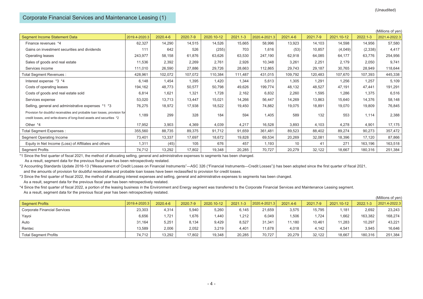$(x_0, y_1, \ldots, y_n)$ 

# Corporate Financial Services and Maintenance Leasing (1)

|                                                                                                                                                     |               |          |          |            |              |               |          |          |            |              | (Millions of yen) |
|-----------------------------------------------------------------------------------------------------------------------------------------------------|---------------|----------|----------|------------|--------------|---------------|----------|----------|------------|--------------|-------------------|
| <b>Segment Income Statement Data</b>                                                                                                                | 2019.4-2020.3 | 2020.4-6 | 2020.7-9 | 2020.10-12 | $2021.1 - 3$ | 2020.4-2021.3 | 2021.4-6 | 2021.7-9 | 2021.10-12 | $2022.1 - 3$ | 2021.4-2022.3     |
| Finance revenues *4                                                                                                                                 | 62,327        | 14,290   | 14,515   | 14,526     | 15,665       | 58,996        | 13,923   | 14,103   | 14,598     | 14,956       | 57,580            |
| Gains on investment securities and dividends                                                                                                        | 111           | 642      | 526      | (255)      | 703          | 1,616         | (53)     | 10,857   | (4,049)    | (2,338)      | 4,417             |
| Operating leases                                                                                                                                    | 243,977       | 58,158   | 61,876   | 63,626     | 63,530       | 247,190       | 62,918   | 64,085   | 64,177     | 63,776       | 254,956           |
| Sales of goods and real estate                                                                                                                      | 11,536        | 2,392    | 2,269    | 2,761      | 2,926        | 10,348        | 3,261    | 2,251    | 2,179      | 2,050        | 9,741             |
| Services income                                                                                                                                     | 111,010       | 26,590   | 27,886   | 29,726     | 28,663       | 112,865       | 29,743   | 29,187   | 30,765     | 28,949       | 118,644           |
| Total Segment Revenues :                                                                                                                            | 428,961       | 102,072  | 107,072  | 110,384    | 111,487      | 431,015       | 109,792  | 120,483  | 107,670    | 107,393      | 445,338           |
| Interest expense *3 *4                                                                                                                              | 6,148         | 1,454    | 1,395    | 1,420      | 1,344        | 5,613         | 1,305    | 1,291    | 1,256      | 1,257        | 5,109             |
| Costs of operating leases                                                                                                                           | 194,162       | 48,773   | 50,577   | 50,798     | 49,626       | 199,774       | 48,132   | 48,527   | 47,191     | 47,441       | 191,291           |
| Costs of goods and real estate sold                                                                                                                 | 6,814         | 1,621    | 1,321    | 1,728      | 2,162        | 6,832         | 2,260    | 1,595    | 1,286      | 1,375        | 6,516             |
| Services expense                                                                                                                                    | 53,020        | 13,713   | 13,447   | 15,021     | 14,266       | 56,447        | 14,269   | 13,863   | 15,640     | 14,376       | 58,148            |
| Selling, general and administrative expenses *1 *3                                                                                                  | 76,275        | 18,972   | 17,938   | 18,522     | 19,450       | 74,882        | 19,075   | 18,891   | 19,070     | 19,809       | 76,845            |
| Provision for doubtful receivables and probable loan losses, provision for<br>credit losses, and write-downs of long-lived assets and securities *2 | 1,189         | 299      | 328      | 184        | 594          | 1,405         | 589      | 132      | 553        | 1,114        | 2,388             |
| Other *4                                                                                                                                            | 17,952        | 3,903    | 4,369    | 4,039      | 4,217        | 16,528        | 3,893    | 4,103    | 4,278      | 4,901        | 17,175            |
| <b>Total Segment Expenses:</b>                                                                                                                      | 355,560       | 88,735   | 89.375   | 91,712     | 91,659       | 361,481       | 89,523   | 88,402   | 89,274     | 90,273       | 357,472           |
| Segment Operating Income                                                                                                                            | 73,401        | 13,337   | 17,697   | 18,672     | 19,828       | 69,534        | 20,269   | 32,081   | 18,396     | 17,120       | 87,866            |
| Equity in Net Income (Loss) of Affiliates and others                                                                                                | 1,311         | (45)     | 105      | 676        | 457          | 1,193         | 10       | 41       | 271        | 163,196      | 163,518           |
| <b>Segment Profits</b>                                                                                                                              | 74,712        | 13,292   | 17,802   | 19,348     | 20,285       | 70,727        | 20,279   | 32,122   | 18,667     | 180,316      | 251,384           |

\*1 Since the first quarter of fiscal 2021, the method of allocating selling, general and administrative expenses to segments has been changed.

As a result, segment data for the previous fiscal year has been retrospectively restated.

\*2 Accounting Standards Update 2016-13 ("Measurement of Credit Losses on Financial Instruments"―ASC 326 ("Financial Instruments―Credit Losses")) has been adopted since the first quarter of fiscal 2021, and the amounts of provision for doubtful receivables and probable loan losses have been reclassified to provision for credit losses.

\*3 Since the first quarter of fiscal 2022, the method of allocating interest expenses and selling, general and administrative expenses to segments has been changed.

As a result, segment data for the previous fiscal year has been retrospectively restated.

\*4 Since the first quarter of fiscal 2022, a portion of the leasing business in the Environment and Energy segment was transferred to the Corporate Financial Services and Maintenance Leasing segment. As a result, segment data for the previous fiscal year has been retrospectively restated.

|                                     |               |          |          |            |              |               |          |          |            |          | (IVIIIIIONS OL VEN) |
|-------------------------------------|---------------|----------|----------|------------|--------------|---------------|----------|----------|------------|----------|---------------------|
| <b>Segment Profits</b>              | 2019.4-2020.3 | 2020.4-6 | 2020.7-9 | 2020.10-12 | $2021.1 - 3$ | 2020.4-2021.3 | 2021.4-6 | 2021.7-9 | 2021.10-12 | 2022.1-3 | 2021.4-2022.3       |
| <b>Corporate Financial Services</b> | 23,303        | 4,314    | 5,940    | 5,260      | 6,145        | 21.659        | 3,575    | 15.795   | 1.181      | 2,692    | 23,243              |
| Yayoi                               | 6,656         | .721     | 1,676    | 440. ا     | 1,212        | 6,049         | .506     | 1.724    | 1,662      | 163,382  | 168,274             |
| Auto                                | 31.164        | 5.251    | 8.134    | 9.429      | 8,527        | 31.341        | 11.180   | 10.461   | 1,283      | 10,297   | 43,221              |
| Rentec                              | 13,589        | 2,006    | 2,052    | 3,219      | 4,401        | 11,678        | 4,018    | 4.142    | 4,541      | 3,945    | 16,646              |
| <b>Total Segment Profits</b>        | 74,712        | 13,292   | 17,802   | 19,348     | 20,285       | 70,727        | 20,279   | 32,122   | 18,667     | 180,316  | 251,384             |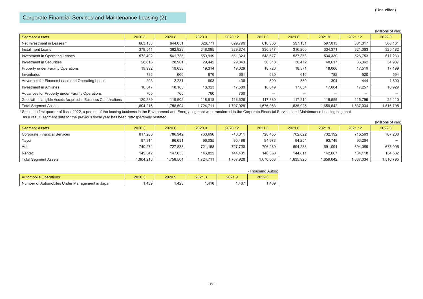# Corporate Financial Services and Maintenance Leasing (2)

|                                                               |           |           |           |           |           |           |           |           | (Millions of yen) |
|---------------------------------------------------------------|-----------|-----------|-----------|-----------|-----------|-----------|-----------|-----------|-------------------|
| <b>Segment Assets</b>                                         | 2020.3    | 2020.6    | 2020.9    | 2020.12   | 2021.3    | 2021.6    | 2021.9    | 2021.12   | 2022.3            |
| Net Investment in Leases *                                    | 663,150   | 644,051   | 628,771   | 629,796   | 610,366   | 597,151   | 597,013   | 601,017   | 580,161           |
| Installment Loans                                             | 379.541   | 362,928   | 348.085   | 329,874   | 330,917   | 316,200   | 334,371   | 321,363   | 325,482           |
| Investment in Operating Leases                                | 572,492   | 561.735   | 559,919   | 561,323   | 548.677   | 537,858   | 534,330   | 526,753   | 517,233           |
| <b>Investment in Securities</b>                               | 28,616    | 28,901    | 29,442    | 29,843    | 30,318    | 30,472    | 40,617    | 36,362    | 34,987            |
| Property under Facility Operations                            | 19,992    | 19,633    | 19,314    | 19,029    | 18,726    | 18,371    | 18,066    | 17,519    | 17,199            |
| Inventories                                                   | 736       | 660       | 676       | 661       | 630       | 616       | 782       | 520       | 594               |
| Advances for Finance Lease and Operating Lease                | 293       | 2,231     | 603       | 436       | 500       | 389       | 304       | 444       | 1,800             |
| Investment in Affiliates                                      | 18.347    | 18,103    | 18,323    | 17,580    | 18.049    | 17.654    | 17,604    | 17,257    | 16,929            |
| Advances for Property under Facility Operations               | 760       | 760       | 760       | 760       |           |           |           |           |                   |
| Goodwill, Intangible Assets Acquired in Business Combinations | 120,289   | 119.502   | 118.818   | 118.626   | 117.880   | 117.214   | 116,555   | 115.799   | 22.410            |
| <b>Total Segment Assets</b>                                   | 1,804,216 | 1,758,504 | 1,724,711 | 1,707,928 | 1,676,063 | 1,635,925 | 1,659,642 | 1,637,034 | 1,516,795         |

(Unaudited)

\* Since the first quarter of fiscal 2022, a portion of the leasing business in the Environment and Energy segment was transferred to the Corporate Financial Services and Maintenance Leasing segment.

|                                     |           |           |           |           |           |           |           |           | (Millions of yen) |
|-------------------------------------|-----------|-----------|-----------|-----------|-----------|-----------|-----------|-----------|-------------------|
| Segment Assets                      | 2020.3    | 2020.6    | 2020.9    | 2020.12   | 2021.3    | 2021.6    | 2021.9    | 2021.12   | 2022.3            |
| <b>Corporate Financial Services</b> | 817.286   | 786.942   | 760,696   | 740,311   | 728.455   | 702.622   | 732.192   | 715,563   | 707,208           |
| Yayoi                               | 97,314    | 96,691    | 96,035    | 95,486    | 94,978    | 94,254    | 93,749    | 93,264    |                   |
| Auto                                | 740.274   | 727.838   | 721.158   | 727.700   | 706.280   | 694.238   | 691.094   | 694.089   | 675,005           |
| Rentec                              | 149.342   | 147.033   | 146.822   | 144.431   | 146.350   | 144.811   | 142.607   | 134.118   | 134,582           |
| <b>Total Segment Assets</b>         | 1,804,216 | 1,758,504 | 1,724,711 | 1,707,928 | 1,676,063 | 1,635,925 | 1,659,642 | 1,637,034 | 1,516,795         |

|                                                 |        |        |        |        | (Thousand Autos) |
|-------------------------------------------------|--------|--------|--------|--------|------------------|
| <b>Automobile Operations</b>                    | 2020.3 | 2020.9 | 2021.3 | 2021.9 | 2022.3           |
| Number of Automobiles Under Management in Japan | .439   | .423   | .416   | .407   | ,409             |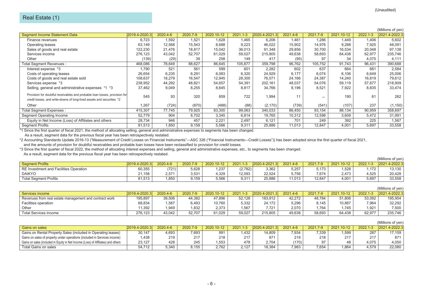|                                                                            |               |          |          |            |              |               |                |          |            |          | (Millions of yen) |
|----------------------------------------------------------------------------|---------------|----------|----------|------------|--------------|---------------|----------------|----------|------------|----------|-------------------|
| <b>Segment Income Statement Data</b>                                       | 2019.4-2020.3 | 2020.4-6 | 2020.7-9 | 2020.10-12 | $2021.1 - 3$ | 2020.4-2021.3 | 2021.4-6       | 2021.7-9 | 2021.10-12 | 2022.1-3 | 2021.4-2022.3     |
| Finance revenues                                                           | 6,723         | 1,592    | 1,521    | 1,628      | 1,465        | 6,206         | 1,461          | 1,286    | 1.449      | 1,406    | 5,602             |
| Operating leases                                                           | 63,149        | 12,568   | 15,543   | 8,688      | 9,223        | 46,022        | 15,902         | 14,976   | 9,288      | 7,925    | 48,091            |
| Sales of goods and real estate                                             | 122,230       | 21,476   | 18,817   | 15,042     | 36,013       | 91,348        | 29,856         | 30,700   | 16,534     | 20,048   | 97,138            |
| Services income                                                            | 276,123       | 43,042   | 52,707   | 61,029     | 59,027       | 215,805       | 49,638         | 58,693   | 64,438     | 62,977   | 235,746           |
| Other                                                                      | (139)         | (29)     | 39       | 258        | 149          | 417           | (95)           | 97       | 34         | 4,075    | 4,111             |
| Total Segment Revenues :                                                   | 468,086       | 78,649   | 88,627   | 86,645     | 105,877      | 359,798       | 96,762         | 105,752  | 91,743     | 96,431   | 390,688           |
| Interest expense *3                                                        | 1,790         | 521      | 561      | 599        | 601          | 2,282         | 602            | 637      | 664        | 681      | 2,584             |
| Costs of operating leases                                                  | 26,654        | 6,235    | 6,291    | 6,083      | 6,320        | 24,929        | 6.177          | 6,074    | 6,106      | 6,649    | 25,006            |
| Costs of goods and real estate sold                                        | 108,637       | 18,279   | 16,547   | 12,945     | 28,300       | 76,071        | 24,166         | 24,387   | 14,240     | 16,819   | 79,612            |
| Services expense *3                                                        | 238,952       | 44,292   | 48,821   | 54,657     | 54,391       | 202,161       | 48,037         | 54,076   | 59,119     | 57,677   | 218,909           |
| Selling, general and administrative expenses *1 *3                         | 37,462        | 9,049    | 8,255    | 8,645      | 8,817        | 34,766        | 8,196          | 8,521    | 7,922      | 8,835    | 33,474            |
| Provision for doubtful receivables and probable loan losses, provision for |               |          |          |            |              |               |                |          |            |          |                   |
| credit losses, and write-downs of long-lived assets and securities *2      | 545           | 93       | 320      | 859        | 722          | 1,994         | 1 <sup>1</sup> |          | 190        | 61       | 262               |
| Other                                                                      | 1.267         | (724)    | (870)    | (488)      | (88)         | (2, 170)      | (739)          | (541)    | (107)      | 237      | (1, 150)          |
| <b>Total Segment Expenses:</b>                                             | 415,307       | 77,745   | 79,925   | 83,300     | 99,063       | 340,033       | 86,450         | 93,154   | 88,134     | 90,959   | 358,697           |
| Segment Operating Income                                                   | 52,779        | 904      | 8,702    | 3,345      | 6,814        | 19,765        | 10,312         | 12,598   | 3,609      | 5,472    | 31,991            |
| Equity in Net Income (Loss) of Affiliates and others                       | 28,734        | 946      | 457      | 2,221      | 2,497        | 6,121         | 701            | 249      | 392        | 225      | 1,567             |
| <b>Segment Profits</b>                                                     | 81,513        | 1,850    | 9,159    | 5,566      | 9,311        | 25,886        | 11,013         | 12,847   | 4,001      | 5,697    | 33,558            |
|                                                                            |               |          |          |            |              |               |                |          |            |          |                   |

As a result, segment data for the previous fiscal year has been retrospectively restated.

\*2 Accounting Standards Update 2016-13 ("Measurement of Credit Losses on Financial Instruments"―ASC 326 ("Financial Instruments―Credit Losses")) has been adopted since the first quarter of fiscal 2021, and the amounts of provision for doubtful receivables and probable loan losses have been reclassified to provision for credit losses.

\*3 Since the first quarter of fiscal 2022, the method of allocating interest expenses and selling, general and administrative expenses, etc., to segments has been changed.

|                                        |               |          |          |            |              |               |          |          |            |          | (Millions of ven) |
|----------------------------------------|---------------|----------|----------|------------|--------------|---------------|----------|----------|------------|----------|-------------------|
| <b>Seament Profits</b>                 | 2019.4-2020.3 | 2020.4-6 | 2020.7-9 | 2020.10-12 | $2021.1 - 3$ | 2020.4-2021.3 | 2021.4-6 | 2021.7-9 | 2021.10-12 | 2022.1-3 | 2021.4-2022.3     |
| RE Investment and Facilities Operation | 60.355        | (721)    | 5,628    | .237       | (2,782)      | 3.362         | 5.257    | 5.173    | .528       | .172     | 13.130            |
| <b>DAIKYO</b>                          | 21.158        | 2.571    | 3,531    | .329       | 12,093       | 22,524        | 5,756    | 7.674    | 2.473      | 4,525    | 20,428            |
| <b>Total Segment Profits</b>           | 81.513        | .850     | 9,159    | 5.566      | 9,311        | 25.886        | 11.013   | 12.847   | 4,001      | 5,697    | 33,558            |

|                                                        |               |              |          |            |              |               |          |          |            |                | (Millions of yen) |
|--------------------------------------------------------|---------------|--------------|----------|------------|--------------|---------------|----------|----------|------------|----------------|-------------------|
| Services income                                        | 2019.4-2020.3 | $2020.4 - 6$ | 2020.7-9 | 2020.10-12 | $2021.1 - 3$ | 2020.4-2021.3 | 2021.4-6 | 2021.7-9 | 2021.10-12 | 2022.1-3       | 2021.4-2022.3     |
| Revenues from real estate management and contract work | 195,897       | 39.506       | 44.382   | 47.896     | 52.128       | 183.912       | 42.272   | 48.784   | 51.806     | 53,092         | 195.954           |
| Facilities operation                                   | 68,834        | 587،،        | 6,493    | 10,760     | 5,332        | 24.172        | 5.296    | 8.145    | 10,887     | 7,964          | 32,292            |
| Other                                                  | 11.392        | 1.949        | .832     | 2.373      | .567         | 7.721         | 2.070    | 1.764    | .745       | $1.92^{\circ}$ | 7,500             |
| <b>Total Services income</b>                           | 276.123       | 43.042       | 52.707   | $31.029$ . | 59.027       | 215.805       | 49,638   | 58,693   | 64.438     | 62,977         | 235.746           |

|                                                                                   |               |          |          |            |              |               |          |          |            |              | (Millions of yen) |
|-----------------------------------------------------------------------------------|---------------|----------|----------|------------|--------------|---------------|----------|----------|------------|--------------|-------------------|
| Gains on sales                                                                    | 2019.4-2020.3 | 2020.4-6 | 2020.7-9 | 2020.10-12 | $2021.1 - 3$ | 2020.4-2021.3 | 2021.4-6 | 2021.7-9 | 2021.10-12 | $2022.1 - 3$ | 2021.4-2022.3     |
| Gains on Rental Property Sales (included in Operating leases)                     | 30.147        | 4.693    | 7.693    | 991        | .432         | 14.809        | 7.934    | 7.339    | .599       | 287          | 17.159            |
| Gains on sales of property under operations (included in Services income)         | 1.438         | 219      | 217      | 218        | 217          | 871           | 219      | 218      | 217        | 217          | 871               |
| Gains on sales (included in Equity in Net Income (Loss) of Affiliates) and others | 23.127        | 428      | 245      | .553       | 478          | 2.704         | (170)    | 97       | 48         | 4.075        | 4.050             |
| Total Gains on sales                                                              | 54.712        | 5.340    | 8.155    | 2.762      | 2,127        | 18.384        | 7,983    | 7.654    | 1.864      | 4,579        | 22,080            |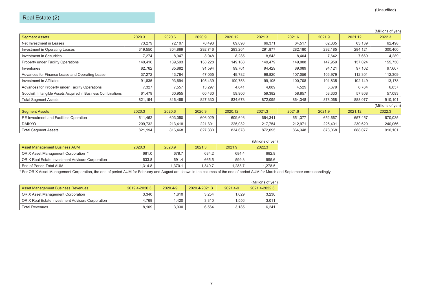|                                                               |         |         |         |         |         |         |         |         | (Millions of yen) |
|---------------------------------------------------------------|---------|---------|---------|---------|---------|---------|---------|---------|-------------------|
| <b>Segment Assets</b>                                         | 2020.3  | 2020.6  | 2020.9  | 2020.12 | 2021.3  | 2021.6  | 2021.9  | 2021.12 | 2022.3            |
| Net Investment in Leases                                      | 73,279  | 72,107  | 70,493  | 69,098  | 66,371  | 64,517  | 62,335  | 63,139  | 62,498            |
| Investment in Operating Leases                                | 319,550 | 304,869 | 292,746 | 293,264 | 291,877 | 282,180 | 292,185 | 284,121 | 300,460           |
| <b>Investment in Securities</b>                               | 7,274   | 8,047   | 8,048   | 8,285   | 8,543   | 8,404   | 7,642   | 7,669   | 4,289             |
| Property under Facility Operations                            | 140.416 | 139,593 | 138,228 | 149,188 | 149,479 | 149,008 | 147,959 | 157,024 | 155,750           |
| Inventories                                                   | 82,762  | 85,882  | 91,594  | 99,761  | 94,429  | 89,089  | 94,121  | 97,102  | 97,667            |
| Advances for Finance Lease and Operating Lease                | 37,272  | 43,764  | 47,055  | 49,782  | 98,820  | 107,056 | 106,979 | 112,301 | 112,309           |
| Investment in Affiliates                                      | 91,835  | 93,694  | 105,439 | 100,753 | 99,105  | 100,708 | 101,835 | 102,149 | 113,178           |
| Advances for Property under Facility Operations               | 7,327   | 7,557   | 13,297  | 4,641   | 4,089   | 4,529   | 6,679   | 6,764   | 6,857             |
| Goodwill, Intangible Assets Acquired in Business Combinations | 61,479  | 60,955  | 60,430  | 59,906  | 59,382  | 58,857  | 58,333  | 57,808  | 57,093            |
| <b>Total Segment Assets</b>                                   | 821,194 | 816,468 | 827,330 | 834,678 | 872,095 | 864,348 | 878,068 | 888,077 | 910,101           |
|                                                               |         |         |         |         |         |         |         |         | (Millions of yen) |
| <b>Segment Assets</b>                                         | 2020.3  | 2020.6  | 2020.9  | 2020.12 | 2021.3  | 2021.6  | 2021.9  | 2021.12 | 2022.3            |
| RE Investment and Facilities Operation                        | 611,462 | 603,050 | 606,029 | 609,646 | 654,341 | 651,377 | 652,667 | 657,457 | 670,035           |
| <b>DAIKYO</b>                                                 | 209,732 | 213,418 | 221,301 | 225,032 | 217,754 | 212,971 | 225,401 | 230,620 | 240,066           |
| <b>Total Segment Assets</b>                                   | 821,194 | 816,468 | 827,330 | 834,678 | 872,095 | 864,348 | 878,068 | 888,077 | 910,101           |

|                                                         |         |         |         |         | (Billions of yen) |
|---------------------------------------------------------|---------|---------|---------|---------|-------------------|
| <b>Asset Management Business AUM</b>                    | 2020.3  | 2020.9  | 2021.3  | 2021.9  | 2022.3            |
| ORIX Asset Management Corporation *                     | 681.0   | 678.7   | 684.2   | 684.4   | 682.9             |
| <b>ORIX Real Estate Investment Advisors Corporation</b> | 633.8   | 691.4   | 665.5   | 599.3   | 595.6             |
| End of Period Total AUM                                 | 1.314.8 | 1.370.1 | 1.349.7 | 1.283.7 | 1.278.5           |

\* For ORIX Asset Management Corporation, the end of period AUM for February and August are shown in the columns of the end of period AUM for March and September correspondingly.

|                                                         |               |          |               |          | (Millions of ven) |
|---------------------------------------------------------|---------------|----------|---------------|----------|-------------------|
| <b>Asset Management Business Revenues</b>               | 2019.4-2020.3 | 2020.4-9 | 2020.4-2021.3 | 2021.4-9 | 2021.4-2022.3     |
| <b>ORIX Asset Management Corporation</b>                | 3.340         | 1,610    | 3,254         | .629     | 3,230             |
| <b>ORIX Real Estate Investment Advisors Corporation</b> | 4.769         | .420     | 3.310         | .556     | 3.011             |
| <b>Total Revenues</b>                                   | 8.109         | 3.030    | 6.564         | 3.185    | 6.241             |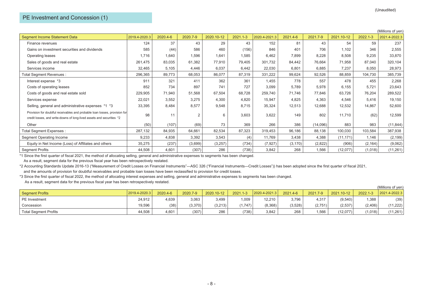|                                                                                                                                                     |               |          |          |            |              |               |          |          |            |          | (Millions of yen) |
|-----------------------------------------------------------------------------------------------------------------------------------------------------|---------------|----------|----------|------------|--------------|---------------|----------|----------|------------|----------|-------------------|
| <b>Segment Income Statement Data</b>                                                                                                                | 2019.4-2020.3 | 2020.4-6 | 2020.7-9 | 2020.10-12 | $2021.1 - 3$ | 2020.4-2021.3 | 2021.4-6 | 2021.7-9 | 2021.10-12 | 2022.1-3 | 2021.4-2022.3     |
| Finance revenues                                                                                                                                    | 124           | 37       | 43       | 29         | 43           | 152           | 81       | 43       | 54         | 59       | 237               |
| Gains on investment securities and dividends                                                                                                        | 585           | (44)     | 586      | 460        | (156)        | 846           | 401      | 706      | 1,102      | 346      | 2,555             |
| Operating leases                                                                                                                                    | 1,716         | 1,640    | 1,596    | 1,641      | 1,585        | 6,462         | 7,899    | 8,228    | 8,508      | 9,235    | 33,870            |
| Sales of goods and real estate                                                                                                                      | 261,475       | 83,035   | 61,382   | 77,910     | 79,405       | 301,732       | 84,442   | 76,664   | 71,958     | 87,040   | 320,104           |
| Services income                                                                                                                                     | 32,465        | 5,105    | 4,446    | 6,037      | 6,442        | 22,030        | 6,801    | 6,885    | 7,237      | 8,050    | 28,973            |
| Total Segment Revenues :                                                                                                                            | 296,365       | 89,773   | 68,053   | 86,077     | 87,319       | 331,222       | 99,624   | 92,526   | 88,859     | 104,730  | 385,739           |
| Interest expense *3                                                                                                                                 | 911           | 321      | 411      | 362        | 361          | 1,455         | 778      | 557      | 478        | 455      | 2,268             |
| Costs of operating leases                                                                                                                           | 852           | 734      | 897      | 741        | 727          | 3,099         | 5,789    | 5,978    | 6,155      | 5,721    | 23,643            |
| Costs of goods and real estate sold                                                                                                                 | 229,905       | 71,940   | 51,568   | 67,504     | 68,728       | 259,740       | 71,746   | 77,846   | 63,726     | 76,204   | 289,522           |
| Services expense                                                                                                                                    | 22,021        | 3,552    | 3,275    | 4,300      | 4,820        | 15,947        | 4,825    | 4,363    | 4,546      | 5,416    | 19,150            |
| Selling, general and administrative expenses *1 *3                                                                                                  | 33,395        | 8,484    | 8,577    | 9,548      | 8,715        | 35,324        | 12,513   | 12,688   | 12,532     | 14,867   | 52,600            |
| Provision for doubtful receivables and probable loan losses, provision for<br>credit losses, and write-downs of long-lived assets and securities *2 | 98            | 11       | 2        |            | 3,603        | 3,622         | 149      | 802      | 11,710     | (62)     | 12,599            |
| Other                                                                                                                                               | (50)          | (107)    | (69)     | 73         | 369          | 266           | 386      | (14,096) | 883        | 983      | (11, 844)         |
| Total Segment Expenses :                                                                                                                            | 287,132       | 84,935   | 64,661   | 82,534     | 87,323       | 319,453       | 96,186   | 88,138   | 100,030    | 103,584  | 387,938           |
| Segment Operating Income                                                                                                                            | 9,233         | 4,838    | 3,392    | 3,543      | (4)          | 11,769        | 3,438    | 4,388    | (11, 171)  | 1,146    | (2, 199)          |
| Equity in Net Income (Loss) of Affiliates and others                                                                                                | 35,275        | (237)    | (3,699)  | (3,257)    | (734)        | (7, 927)      | (3, 170) | (2,822)  | (906)      | (2, 164) | (9,062)           |
| <b>Segment Profits</b>                                                                                                                              | 44,508        | 4,601    | (307)    | 286        | (738)        | 3,842         | 268      | 1,566    | (12, 077)  | (1,018)  | (11, 261)         |

As a result, segment data for the previous fiscal year has been retrospectively restated.

\*2 Accounting Standards Update 2016-13 ("Measurement of Credit Losses on Financial Instruments"―ASC 326 ("Financial Instruments―Credit Losses")) has been adopted since the first quarter of fiscal 2021, and the amounts of provision for doubtful receivables and probable loan losses have been reclassified to provision for credit losses.

\*3 Since the first quarter of fiscal 2022, the method of allocating interest expenses and selling, general and administrative expenses to segments has been changed.

|                              |                    |          |          |            |              |               |          |          |            |          | (Millions of yen) |
|------------------------------|--------------------|----------|----------|------------|--------------|---------------|----------|----------|------------|----------|-------------------|
| Segment Profits              | $12019.4 - 2020.3$ | 2020.4-6 | 2020.7-9 | 2020.10-12 | $2021.1 - 3$ | 2020.4-2021.3 | 2021.4-6 | 2021.7-9 | 2021.10-12 | 2022.1-3 | 2021.4-2022.3     |
| <b>PE</b> Investment         | 24.912             | 1.639    | 3,063    | 3,499      | 1,009        | 12.210        | 3,796    | 4,317    | (9,540)    | 1,388    | (39)              |
| Concession                   | 19,596             | (38)     | (3,370)  | (3,213)    | 1,747        | (8,368)       | (3,528)  | (2.751)  | (2,537)    | (2.406)  | (11, 222)         |
| <b>Total Segment Profits</b> | 44,508             | 4,601    | (307)    | 286        | (738)        | 3.842         | 268      | .566     | (12,077)   | (1,018)  | (11, 261)         |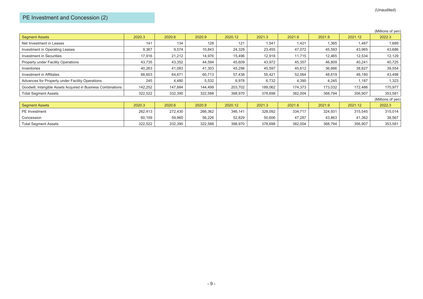|                                                               |         |         |         |         |         |         |         |         | (Millions of yen) |
|---------------------------------------------------------------|---------|---------|---------|---------|---------|---------|---------|---------|-------------------|
| <b>Segment Assets</b>                                         | 2020.3  | 2020.6  | 2020.9  | 2020.12 | 2021.3  | 2021.6  | 2021.9  | 2021.12 | 2022.3            |
| Net Investment in Leases                                      | 141     | 134     | 128     | 121     | 1,541   | 1,421   | 1,365   | 1,487   | 1,689             |
| Investment in Operating Leases                                | 9,367   | 9,574   | 10,843  | 24,328  | 23,455  | 47,072  | 45,593  | 43,965  | 43,686            |
| <b>Investment in Securities</b>                               | 17,916  | 21,212  | 14,976  | 15,496  | 12,918  | 11,715  | 12,465  | 12,534  | 12,129            |
| <b>Property under Facility Operations</b>                     | 43,735  | 43,352  | 44,594  | 45,609  | 43,972  | 45,357  | 46,809  | 40,241  | 40,725            |
| Inventories                                                   | 40,263  | 41,083  | 41,303  | 45,298  | 45,597  | 45,612  | 36,666  | 38,827  | 39,554            |
| Investment in Affiliates                                      | 68,603  | 64,671  | 60,713  | 57,438  | 55,421  | 52,064  | 48,619  | 46,180  | 43,498            |
| Advances for Property under Facility Operations               | 245     | 4,480   | 5,532   | 6,978   | 6,732   | 4,390   | 4,245   | 1,187   | 1,323             |
| Goodwill, Intangible Assets Acquired in Business Combinations | 142,252 | 147,884 | 144,499 | 203,702 | 189,062 | 174,373 | 173,032 | 172,486 | 170,977           |
| <b>Total Segment Assets</b>                                   | 322,522 | 332,390 | 322,588 | 398,970 | 378,698 | 382,004 | 368,794 | 356,907 | 353,581           |
|                                                               |         |         |         |         |         |         |         |         | (Millions of yen) |
| <b>Segment Assets</b>                                         | 2020.3  | 2020.6  | 2020.9  | 2020.12 | 2021.3  | 2021.6  | 2021.9  | 2021.12 | 2022.3            |
| <b>PE</b> Investment                                          | 262,413 | 272,430 | 266,362 | 346,141 | 328,092 | 334,717 | 324,931 | 315,545 | 315,014           |
| Concession                                                    | 60,109  | 59,960  | 56,226  | 52,829  | 50,606  | 47,287  | 43,863  | 41,362  | 38,567            |
| <b>Total Segment Assets</b>                                   | 322,522 | 332,390 | 322,588 | 398,970 | 378,698 | 382,004 | 368,794 | 356,907 | 353,581           |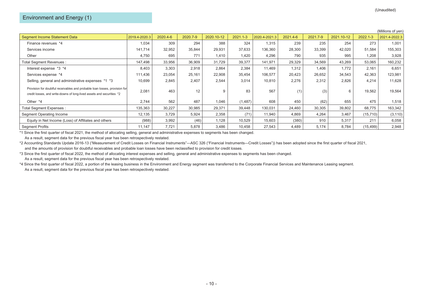|                                                                                                                                                     |               |          |          |            |              |               |          |          |            |              | (Millions of yen) |
|-----------------------------------------------------------------------------------------------------------------------------------------------------|---------------|----------|----------|------------|--------------|---------------|----------|----------|------------|--------------|-------------------|
| <b>Segment Income Statement Data</b>                                                                                                                | 2019.4-2020.3 | 2020.4-6 | 2020.7-9 | 2020.10-12 | $2021.1 - 3$ | 2020.4-2021.3 | 2021.4-6 | 2021.7-9 | 2021.10-12 | $2022.1 - 3$ | 2021.4-2022.3     |
| Finance revenues *4                                                                                                                                 | 1,034         | 309      | 294      | 388        | 324          | 1,315         | 239      | 235      | 254        | 273          | 1,001             |
| Services income                                                                                                                                     | 141,714       | 32,952   | 35,844   | 29,931     | 37,633       | 136,360       | 28,300   | 33,399   | 42,020     | 51,584       | 155,303           |
| Other                                                                                                                                               | 4,750         | 695      | 771      | 1,410      | 1,420        | 4,296         | 790      | 935      | 995        | 1,208        | 3,928             |
| Total Segment Revenues :                                                                                                                            | 147,498       | 33,956   | 36,909   | 31,729     | 39,377       | 141,971       | 29,329   | 34,569   | 43,269     | 53,065       | 160,232           |
| Interest expense *3 *4                                                                                                                              | 8,403         | 3,303    | 2,918    | 2,864      | 2,384        | 11,469        | 1,312    | 1,406    | 1,772      | 2,161        | 6,651             |
| Services expense *4                                                                                                                                 | 111,436       | 23,054   | 25,161   | 22,908     | 35,454       | 106,577       | 20,423   | 26,652   | 34,543     | 42,363       | 123,981           |
| Selling, general and administrative expenses *1 *3                                                                                                  | 10,699        | 2,845    | 2,407    | 2,544      | 3,014        | 10,810        | 2,276    | 2,312    | 2,826      | 4,214        | 11,628            |
| Provision for doubtful receivables and probable loan losses, provision for<br>credit losses, and write-downs of long-lived assets and securities *2 | 2,081         | 463      | 12       | 9          | 83           | 567           | (1)      | (3)      | 6          | 19,562       | 19,564            |
| Other *4                                                                                                                                            | 2,744         | 562      | 487      | 1,046      | (1,487)      | 608           | 450      | (62)     | 655        | 475          | 1,518             |
| Total Segment Expenses :                                                                                                                            | 135,363       | 30,227   | 30,985   | 29,371     | 39,448       | 130,031       | 24,460   | 30,305   | 39,802     | 68,775       | 163,342           |
| Segment Operating Income                                                                                                                            | 12,135        | 3,729    | 5,924    | 2,358      | (71)         | 11,940        | 4,869    | 4,264    | 3,467      | (15, 710)    | (3, 110)          |
| Equity in Net Income (Loss) of Affiliates and others                                                                                                | (988)         | 3,992    | (46)     | 1,128      | 10,529       | 15,603        | (380)    | 910      | 5,317      | 211          | 6,058             |
| <b>Segment Profits</b>                                                                                                                              | 11,147        | 7,721    | 5,878    | 3,486      | 10,458       | 27,543        | 4,489    | 5,174    | 8,784      | (15, 499)    | 2,948             |

As a result, segment data for the previous fiscal year has been retrospectively restated.

\*2 Accounting Standards Update 2016-13 ("Measurement of Credit Losses on Financial Instruments"―ASC 326 ("Financial Instruments―Credit Losses")) has been adopted since the first quarter of fiscal 2021, and the amounts of provision for doubtful receivables and probable loan losses have been reclassified to provision for credit losses.

\*3 Since the first quarter of fiscal 2022, the method of allocating interest expenses and selling, general and administrative expenses to segments has been changed.

As a result, segment data for the previous fiscal year has been retrospectively restated.

\*4 Since the first quarter of fiscal 2022, a portion of the leasing business in the Environment and Energy segment was transferred to the Corporate Financial Services and Maintenance Leasing segment. As a result, segment data for the previous fiscal year has been retrospectively restated.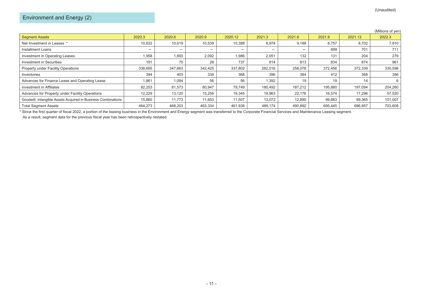|                                                               |         |         |         |         |         |         |         |         | (Millions of yen) |
|---------------------------------------------------------------|---------|---------|---------|---------|---------|---------|---------|---------|-------------------|
| <b>Segment Assets</b>                                         | 2020.3  | 2020.6  | 2020.9  | 2020.12 | 2021.3  | 2021.6  | 2021.9  | 2021.12 | 2022.3            |
| Net Investment in Leases *                                    | 10,832  | 10,619  | 10,539  | 10,388  | 8,978   | 9,188   | 8,757   | 8,702   | 7,910             |
| Installment Loans                                             |         |         |         |         |         |         | 699     | 701     | 711               |
| Investment in Operating Leases                                | 1,958   | .893    | 2.092   | 1.986   | 2.051   | 132     | 131     | 204     | 279               |
| Investment in Securities                                      | 191     | 75      | 28      | 737     | 814     | 813     | 834     | 874     | 961               |
| Property under Facility Operations                            | 338,695 | 347.663 | 342.425 | 337,802 | 262,016 | 258,078 | 372,456 | 372,339 | 330,598           |
| Inventories                                                   | 394     | 403     | 338     | 368     | 396     | 384     | 412     | 368     | 356               |
| Advances for Finance Lease and Operating Lease                | 1,861   | 1.084   | 56      | 56      | 1,392   | 19      | 19      | 14      | 6                 |
| Investment in Affiliates                                      | 82,253  | 81,573  | 80.947  | 79.749  | 180.492 | 187.212 | 195,880 | 197.094 | 204,260           |
| Advances for Property under Facility Operations               | 12,229  | 13,120  | 15,256  | 19,345  | 19,963  | 22,176  | 16,574  | 17.296  | 57,520            |
| Goodwill, Intangible Assets Acquired in Business Combinations | 15.860  | 11.773  | 11.653  | 11.507  | 13.072  | 12,890  | 99,683  | 99,365  | 101,007           |
| <b>Total Segment Assets</b>                                   | 464,273 | 468,203 | 463,334 | 461,938 | 489,174 | 490,892 | 695,445 | 696,957 | 703,608           |

\* Since the first quarter of fiscal 2022, a portion of the leasing business in the Environment and Energy segment was transferred to the Corporate Financial Services and Maintenance Leasing segment.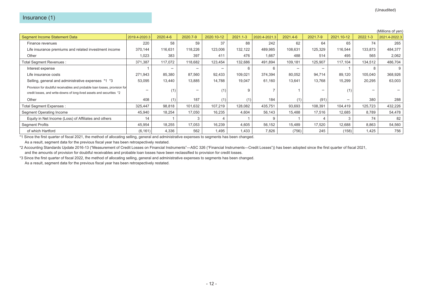|                                                                                                                                                     |               |          |          |            |              |               |          |          |            |              | (Millions of yen) |
|-----------------------------------------------------------------------------------------------------------------------------------------------------|---------------|----------|----------|------------|--------------|---------------|----------|----------|------------|--------------|-------------------|
| <b>Segment Income Statement Data</b>                                                                                                                | 2019.4-2020.3 | 2020.4-6 | 2020.7-9 | 2020.10-12 | $2021.1 - 3$ | 2020.4-2021.3 | 2021.4-6 | 2021.7-9 | 2021.10-12 | $2022.1 - 3$ | 2021.4-2022.3     |
| Finance revenues                                                                                                                                    | 220           | 58       | 59       | 37         | 88           | 242           | 62       | 64       | 65         | 74           | 265               |
| Life insurance premiums and related investment income                                                                                               | 370,144       | 116,631  | 118,226  | 123,006    | 132,122      | 489,985       | 108,631  | 125,329  | 116,544    | 133,873      | 484,377           |
| Other                                                                                                                                               | 1,023         | 383      | 397      | 411        | 476          | 1,667         | 488      | 514      | 495        | 565          | 2,062             |
| Total Segment Revenues :                                                                                                                            | 371,387       | 117,072  | 118.682  | 123,454    | 132,686      | 491,894       | 109,181  | 125,907  | 117,104    | 134,512      | 486,704           |
| Interest expense                                                                                                                                    |               |          |          |            |              |               |          |          |            |              | 9                 |
| Life insurance costs                                                                                                                                | 271,943       | 85,380   | 87,560   | 92,433     | 109,021      | 374,394       | 80,052   | 94,714   | 89,120     | 105,040      | 368,926           |
| Selling, general and administrative expenses *1 *3                                                                                                  | 53,095        | 13,440   | 13,885   | 14,788     | 19,047       | 61,160        | 13,641   | 13,768   | 15,299     | 20,295       | 63,003            |
| Provision for doubtful receivables and probable loan losses, provision for<br>credit losses, and write-downs of long-lived assets and securities *2 |               |          |          | (1),       | -9           |               |          |          | (1)        |              |                   |
| Other                                                                                                                                               | 408           |          | 187      | (1)        | (1)          | 184           | (1)      | (91)     |            | 380          | 288               |
| Total Segment Expenses :                                                                                                                            | 325,447       | 98,818   | 101,632  | 107.219    | 128,082      | 435,751       | 93,693   | 108,391  | 104,419    | 125,723      | 432,226           |
| Segment Operating Income                                                                                                                            | 45,940        | 18,254   | 17,050   | 16,235     | 4,604        | 56,143        | 15,488   | 17,516   | 12,685     | 8,789        | 54,478            |
| Equity in Net Income (Loss) of Affiliates and others                                                                                                | 14            |          |          |            |              |               |          |          |            | 74           | 82                |
| <b>Segment Profits</b>                                                                                                                              | 45,954        | 18,255   | 17,053   | 16,239     | 4,605        | 56,152        | 15,489   | 17,520   | 12,688     | 8,863        | 54,560            |
| of which Hartford                                                                                                                                   | (6, 161)      | 4,336    | 562      | 1,495      | 1,433        | 7,826         | (756)    | 245      | (158)      | 1,425        | 756               |

As a result, segment data for the previous fiscal year has been retrospectively restated.

\*2 Accounting Standards Update 2016-13 ("Measurement of Credit Losses on Financial Instruments"―ASC 326 ("Financial Instruments―Credit Losses")) has been adopted since the first quarter of fiscal 2021, and the amounts of provision for doubtful receivables and probable loan losses have been reclassified to provision for credit losses.

\*3 Since the first quarter of fiscal 2022, the method of allocating selling, general and administrative expenses to segments has been changed.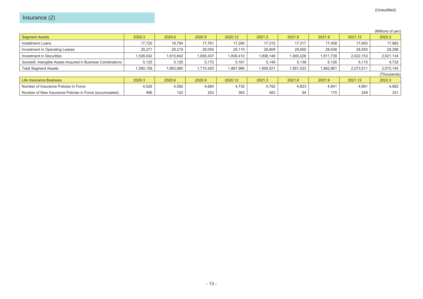|                                                               |           |           |           |           |           |           |           |           | (Millions of yen) |
|---------------------------------------------------------------|-----------|-----------|-----------|-----------|-----------|-----------|-----------|-----------|-------------------|
| <b>Segment Assets</b>                                         | 2020.3    | 2020.6    | 2020.9    | 2020.12   | 2021.3    | 2021.6    | 2021.9    | 2021.12   | 2022.3            |
| Installment Loans                                             | 17.720    | 18,794    | 17,761    | 17.280    | 17,315    | 17,317    | 17.458    | 17.693    | 17,983            |
| Investment in Operating Leases                                | 29,271    | 29,219    | 29,055    | 29,115    | 28,909    | 28,850    | 28,638    | 28,550    | 28,296            |
| Investment in Securities                                      | 1,528,042 | 1,610,842 | 1,658,437 | 1,836,410 | 1,908,148 | 1,900,228 | 1,911,739 | 2,022,153 | 2,021,134         |
| Goodwill, Intangible Assets Acquired in Business Combinations | 5,125     | 5,125     | 5,172     | 5,161     | 5,149     | 5,138     | 5,126     | 5,115     | 4,732             |
| <b>Total Segment Assets</b>                                   | 1,580,158 | 1,663,980 | 1,710,425 | 1,887,966 | 1,959,521 | 1,951,533 | 1,962,961 | 2,073,511 | 2,072,145         |
|                                                               |           |           |           |           |           |           |           |           | (Thousands)       |
| Life Insurance Business                                       | 2020.3    | 2020.6    | 2020.9    | 2020.12   | 2021.3    | 2021.6    | 2021.9    | 2021.12   | 2022.3            |
| Number of Insurance Policies in Force                         | 4,526     | 4,582     | 4,684     | 4,735     | 4,792     | 4,823     | 4,841     | 4,861     | 4,882             |
| Number of New Insurance Policies in Force (accumulated)       | 496       | 102       | 253       | 363       | 483       | 94        | 170       | 249       | 331               |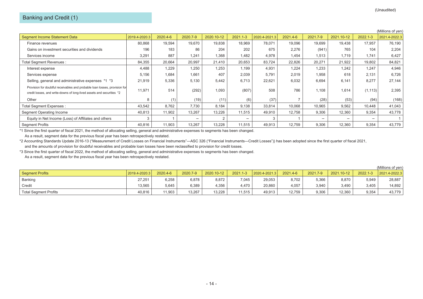|                                                                                                                                                     |               |          |          |            |              |               |          |          |            |              | (Millions of yen) |
|-----------------------------------------------------------------------------------------------------------------------------------------------------|---------------|----------|----------|------------|--------------|---------------|----------|----------|------------|--------------|-------------------|
| <b>Segment Income Statement Data</b>                                                                                                                | 2019.4-2020.3 | 2020.4-6 | 2020.7-9 | 2020.10-12 | $2021.1 - 3$ | 2020.4-2021.3 | 2021.4-6 | 2021.7-9 | 2021.10-12 | $2022.1 - 3$ | 2021.4-2022.3     |
| Finance revenues                                                                                                                                    | 80,868        | 19,594   | 19,670   | 19,838     | 18,969       | 78,071        | 19,096   | 19,699   | 19,438     | 17,957       | 76,190            |
| Gains on investment securities and dividends                                                                                                        | 196           | 183      | 86       | 204        | 202          | 675           | 2,276    | (941)    | 765        | 104          | 2,204             |
| Services income                                                                                                                                     | 3,291         | 887      | 1,241    | 1,368      | 1,482        | 4,978         | 1,454    | 1,513    | 1,719      | 1,741        | 6,427             |
| Total Segment Revenues :                                                                                                                            | 84,355        | 20,664   | 20,997   | 21,410     | 20,653       | 83,724        | 22,826   | 20,271   | 21,922     | 19,802       | 84,821            |
| Interest expense                                                                                                                                    | 4,488         | 1,229    | 1,250    | 1,253      | 1,199        | 4,931         | 1,224    | 1,233    | 1,242      | 1,247        | 4,946             |
| Services expense                                                                                                                                    | 5,156         | 1,684    | 1,661    | 407        | 2,039        | 5,791         | 2,019    | 1,958    | 618        | 2,131        | 6,726             |
| Selling, general and administrative expenses *1 *3                                                                                                  | 21,919        | 5,336    | 5,130    | 5,442      | 6,713        | 22,621        | 6,032    | 6,694    | 6,141      | 8,277        | 27,144            |
| Provision for doubtful receivables and probable loan losses, provision for<br>credit losses, and write-downs of long-lived assets and securities *2 | 11,971        | 514      | (292)    | 1,093      | (807)        | 508           | 786      | 1,108    | 1,614      | (1, 113)     | 2,395             |
| Other                                                                                                                                               |               | (1)      | (19)     | (11)       | (6)          | (37)          | -        | (28)     | (53)       | (94)         | (168)             |
| Total Segment Expenses :                                                                                                                            | 43,542        | 8,762    | 7,730    | 8,184      | 9,138        | 33,814        | 10,068   | 10,965   | 9,562      | 10,448       | 41,043            |
| Segment Operating Income                                                                                                                            | 40,813        | 11,902   | 13,267   | 13,226     | 11,515       | 49,910        | 12,758   | 9,306    | 12,360     | 9,354        | 43,778            |
| Equity in Net Income (Loss) of Affiliates and others                                                                                                |               |          |          |            |              |               |          |          |            |              |                   |
| <b>Segment Profits</b>                                                                                                                              | 40.816        | 11,903   | 13,267   | 13,228     | 11,515       | 49,913        | 12,759   | 9,306    | 12,360     | 9,354        | 43,779            |

As a result, segment data for the previous fiscal year has been retrospectively restated.

\*2 Accounting Standards Update 2016-13 ("Measurement of Credit Losses on Financial Instruments"―ASC 326 ("Financial Instruments―Credit Losses")) has been adopted since the first quarter of fiscal 2021, and the amounts of provision for doubtful receivables and probable loan losses have been reclassified to provision for credit losses.

\*3 Since the first quarter of fiscal 2022, the method of allocating selling, general and administrative expenses to segments has been changed.

|                              |               |          |          |            |              |               |          |          |            |          | (Millions of yen) |
|------------------------------|---------------|----------|----------|------------|--------------|---------------|----------|----------|------------|----------|-------------------|
| Segment Profits              | 2019.4-2020.3 | 2020.4-6 | 2020.7-9 | 2020.10-12 | $2021.1 - 3$ | 2020.4-2021.3 | 2021.4-6 | 2021.7-9 | 2021.10-12 | 2022.1-3 | 2021.4-2022.3     |
| Banking                      | 27,251        | 6,258    | 6,878    | 8,872      | 7,045        | 29,053        | 8,702    | 5,366    | 8,870      | 5,949    | 28,887            |
| Credit                       | 13.565        | 5.645    | 6,389    | 1.356      | 4.470        | 20,860        | 4,057    | 3.940    | 3.490      | 3.405    | 14,892            |
| <b>Total Segment Profits</b> | 40,816        | 11.903   | 13,267   | 13,228     | 11,515       | 49,913        | 12,759   | 9,306    | 12,360     | 9,354    | 43,779            |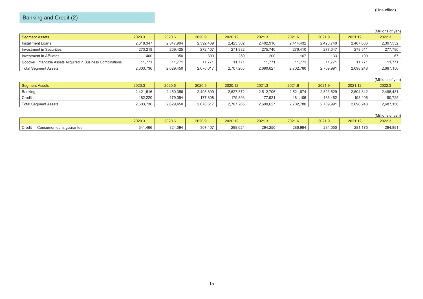# Banking and Credit (2)

#### (Millions of yen)

| <b>Seament Assets</b>                                         | 2020.3    | 2020.6    | 2020.9    | 2020.12   | 2021.3    | 2021.6    | 2021.9    | 2021.12   | 2022.3    |
|---------------------------------------------------------------|-----------|-----------|-----------|-----------|-----------|-----------|-----------|-----------|-----------|
| Installment Loans                                             | 2,318,347 | 2,347,904 | 2,392,439 | 2,423,362 | 2,402,916 | 2,414,432 | 2,420,740 | 2,407,866 | 2,397,532 |
| Investment in Securities                                      | 273.218   | 269.425   | 272.107   | 271.882   | 275.740   | 276.410   | 277.347   | 278.511   | 277.786   |
| Investment in Affiliates                                      | 400       | 350       | 300       | 250       | 200       | 167       | 133       | 100       | 67        |
| Goodwill, Intangible Assets Acquired in Business Combinations | 11.771    | 11.771    | 11.771    | 11.771    | 11.771    | 11.771    | 11.771    | 11.771    | 11.771    |
| <b>Total Segment Assets</b>                                   | 2,603,736 | 2,629,450 | 2,676,617 | 2,707,265 | 2,690,627 | 2,702,780 | 2,709,991 | 2.698.248 | 2,687,156 |

#### (Millions of yen)

| <b>Segment Assets</b>       | 2020.3    | 2020.6    | 2020.9    | 2020.12   | 2021.3    | 2021.6    | 2021.9    | 2021.12   | 2022.3    |
|-----------------------------|-----------|-----------|-----------|-----------|-----------|-----------|-----------|-----------|-----------|
| Banking                     | 2.421.516 | 2,450,356 | 2,498,809 | 2,527,372 | 2,512,706 | 2.521.674 | 2,523,529 | 2,504,842 | 2,496,431 |
| Credit                      | 182.220   | 179.094   | 177.808   | 179.893   | 177.921   | 181,106   | 186,462   | 193,406   | 190,725   |
| <b>Total Segment Assets</b> | 2,603,736 | 2.629.450 | 2,676,617 | 2,707,265 | 2,690,627 | 2,702,780 | 2,709,991 | 2,698,248 | 2,687,156 |

## (Millions of yen) 2020.3 2020.6 2020.9 2020.12 2021.3 2021.6 2021.9 2021.12 2022.3 Credit - Consumer loans guarantee 341,466 324,094 307,407 298,624 294,250 286,994 284,050 281,176 284,891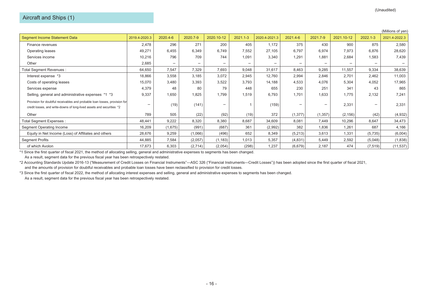|                                                                                                                                                     |               |          |          |            |              |               |          |          |            |              | (Millions of yen) |
|-----------------------------------------------------------------------------------------------------------------------------------------------------|---------------|----------|----------|------------|--------------|---------------|----------|----------|------------|--------------|-------------------|
| Segment Income Statement Data                                                                                                                       | 2019.4-2020.3 | 2020.4-6 | 2020.7-9 | 2020.10-12 | $2021.1 - 3$ | 2020.4-2021.3 | 2021.4-6 | 2021.7-9 | 2021.10-12 | $2022.1 - 3$ | 2021.4-2022.3     |
| Finance revenues                                                                                                                                    | 2,478         | 296      | 271      | 200        | 405          | 1,172         | 375      | 430      | 900        | 875          | 2,580             |
| Operating leases                                                                                                                                    | 49,271        | 6,455    | 6,349    | 6,749      | 7,552        | 27,105        | 6,797    | 6,974    | 7,973      | 6,876        | 28,620            |
| Services income                                                                                                                                     | 10,216        | 796      | 709      | 744        | 1,091        | 3,340         | 1,291    | 1,881    | 2,684      | 1,583        | 7,439             |
| Other                                                                                                                                               | 2,685         |          |          |            |              |               |          |          |            |              |                   |
| <b>Total Segment Revenues:</b>                                                                                                                      | 64,650        | 7,547    | 7,329    | 7,693      | 9,048        | 31,617        | 8,463    | 9,285    | 11,557     | 9,334        | 38,639            |
| Interest expense *3                                                                                                                                 | 18,866        | 3,558    | 3,185    | 3,072      | 2,945        | 12,760        | 2,994    | 2,846    | 2,701      | 2,462        | 11,003            |
| Costs of operating leases                                                                                                                           | 15,070        | 3,480    | 3,393    | 3,522      | 3,793        | 14,188        | 4,533    | 4,076    | 5,304      | 4,052        | 17,965            |
| Services expense                                                                                                                                    | 4,379         | 48       | 80       | 79         | 448          | 655           | 230      | 251      | 341        | 43           | 865               |
| Selling, general and administrative expenses *1 *3                                                                                                  | 9,337         | 1,650    | 1,825    | .799       | 1,519        | 6,793         | 1,701    | 1,633    | 1,775      | 2,132        | 7,241             |
| Provision for doubtful receivables and probable loan losses, provision for<br>credit losses, and write-downs of long-lived assets and securities *2 |               | (19)     | (141)    |            |              | (159)         |          |          | 2,331      |              | 2,331             |
| Other                                                                                                                                               | 789           | 505      | (22)     | (92)       | (19)         | 372           | (1, 377) | (1, 357) | (2, 156)   | (42)         | (4,932)           |
| Total Segment Expenses :                                                                                                                            | 48,441        | 9,222    | 8,320    | 8,380      | 8,687        | 34,609        | 8,081    | 7,449    | 10,296     | 8,647        | 34,473            |
| Segment Operating Income                                                                                                                            | 16,209        | (1,675)  | (991)    | (687)      | 361          | (2,992)       | 382      | 1,836    | 1,261      | 687          | 4,166             |
| Equity in Net Income (Loss) of Affiliates and others                                                                                                | 28,676        | 9,259    | (1,066)  | (496)      | 652          | 8,349         | (5,213)  | 3,613    | 1,331      | (5,735)      | (6,004)           |
| <b>Segment Profits</b>                                                                                                                              | 44,885        | 7,584    | (2,057)  | (1, 183)   | 1,013        | 5,357         | (4,831)  | 5,449    | 2,592      | (5,048)      | (1,838)           |
| of which Avolon                                                                                                                                     | 17,673        | 6,303    | (2,714)  | (2,054)    | (298)        | 1,237         | (6,679)  | 2,187    | 474        | (7, 519)     | (11, 537)         |

As a result, segment data for the previous fiscal year has been retrospectively restated.

\*2 Accounting Standards Update 2016-13 ("Measurement of Credit Losses on Financial Instruments"―ASC 326 ("Financial Instruments―Credit Losses")) has been adopted since the first quarter of fiscal 2021, and the amounts of provision for doubtful receivables and probable loan losses have been reclassified to provision for credit losses.

\*3 Since the first quarter of fiscal 2022, the method of allocating interest expenses and selling, general and administrative expenses to segments has been changed.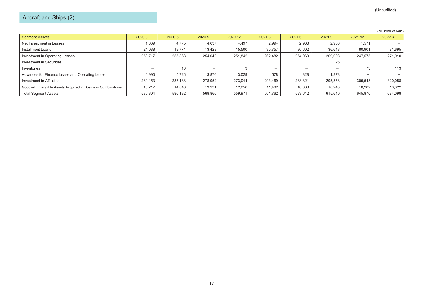# Aircraft and Ships (2)

|                                                               |         |         |         |         |         |         |         |         | (Millions of yen) |
|---------------------------------------------------------------|---------|---------|---------|---------|---------|---------|---------|---------|-------------------|
| <b>Segment Assets</b>                                         | 2020.3  | 2020.6  | 2020.9  | 2020.12 | 2021.3  | 2021.6  | 2021.9  | 2021.12 | 2022.3            |
| Net Investment in Leases                                      | 1,839   | 4,775   | 4,637   | 4,497   | 2,994   | 2,968   | 2,980   | 1,571   |                   |
| Installment Loans                                             | 24,088  | 19,774  | 13,428  | 15,500  | 30,757  | 36,602  | 36,648  | 80,901  | 81,695            |
| Investment in Operating Leases                                | 253.717 | 255,863 | 254,042 | 251,842 | 262,482 | 254,060 | 269,008 | 247,575 | 271,910           |
| Investment in Securities                                      |         |         |         |         |         |         | 25      |         |                   |
| Inventories                                                   |         | 10      |         |         |         |         |         | 73      | 113               |
| Advances for Finance Lease and Operating Lease                | 4,990   | 5,726   | 3,876   | 3,029   | 578     | 828     | 1,378   |         |                   |
| Investment in Affiliates                                      | 284,453 | 285.138 | 278,952 | 273.044 | 293,469 | 288,321 | 295,358 | 305.548 | 320,058           |
| Goodwill, Intangible Assets Acquired in Business Combinations | 16.217  | 14,846  | 13,931  | 12.056  | 11,482  | 10,863  | 10.243  | 10,202  | 10,322            |
| <b>Total Segment Assets</b>                                   | 585,304 | 586,132 | 568,866 | 559.971 | 601.762 | 593.642 | 615.640 | 645.870 | 684.098           |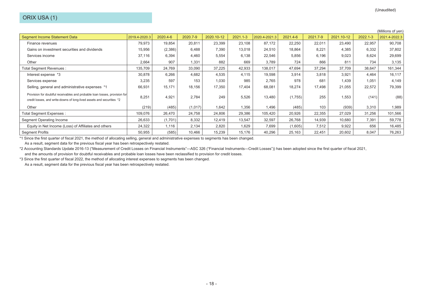|                                                                                                                                                     |               |          |          |            |              |               |          |          |            |              | (Millions of yen) |
|-----------------------------------------------------------------------------------------------------------------------------------------------------|---------------|----------|----------|------------|--------------|---------------|----------|----------|------------|--------------|-------------------|
| Segment Income Statement Data                                                                                                                       | 2019.4-2020.3 | 2020.4-6 | 2020.7-9 | 2020.10-12 | $2021.1 - 3$ | 2020.4-2021.3 | 2021.4-6 | 2021.7-9 | 2021.10-12 | $2022.1 - 3$ | 2021.4-2022.3     |
| Finance revenues                                                                                                                                    | 79,973        | 19,854   | 20,811   | 23,399     | 23,108       | 87,172        | 22,250   | 22,011   | 23,490     | 22,957       | 90,708            |
| Gains on investment securities and dividends                                                                                                        | 15,956        | (2,386)  | 6,488    | 7,390      | 13,018       | 24,510        | 18,864   | 8,221    | 4,385      | 6,332        | 37,802            |
| Services income                                                                                                                                     | 37,116        | 6,394    | 4,460    | 5,554      | 6,138        | 22,546        | 5,856    | 6,196    | 9,023      | 8,624        | 29,699            |
| Other                                                                                                                                               | 2,664         | 907      | 1,331    | 882        | 669          | 3,789         | 724      | 866      | 811        | 734          | 3,135             |
| Total Segment Revenues :                                                                                                                            | 135,709       | 24,769   | 33,090   | 37,225     | 42,933       | 138,017       | 47,694   | 37,294   | 37,709     | 38,647       | 161,344           |
| Interest expense *3                                                                                                                                 | 30,878        | 6,266    | 4,682    | 4,535      | 4,115        | 19,598        | 3,914    | 3,818    | 3,921      | 4,464        | 16,117            |
| Services expense                                                                                                                                    | 3,235         | 597      | 153      | 1,030      | 985          | 2,765         | 978      | 681      | 1,439      | 1,051        | 4,149             |
| Selling, general and administrative expenses *1                                                                                                     | 66,931        | 15,171   | 18,156   | 17,350     | 17,404       | 68,081        | 18,274   | 17,498   | 21,055     | 22,572       | 79,399            |
| Provision for doubtful receivables and probable loan losses, provision for<br>credit losses, and write-downs of long-lived assets and securities *2 | 8,251         | 4,921    | 2,784    | 249        | 5,526        | 13,480        | (1,755)  | 255      | 1,553      | (141)        | (88)              |
| Other                                                                                                                                               | (219)         | (485)    | (1,017)  | 1,642      | 1,356        | 1,496         | (485)    | 103      | (939)      | 3,310        | 1,989             |
| Total Segment Expenses :                                                                                                                            | 109,076       | 26,470   | 24,758   | 24,806     | 29,386       | 105,420       | 20,926   | 22,355   | 27,029     | 31,256       | 101,566           |
| Segment Operating Income                                                                                                                            | 26,633        | (1,701)  | 8,332    | 12,419     | 13,547       | 32,597        | 26,768   | 14,939   | 10,680     | 7,391        | 59,778            |
| Equity in Net Income (Loss) of Affiliates and others                                                                                                | 24,322        | 1,116    | 2,134    | 2,820      | 1,629        | 7,699         | (1,605)  | 7,512    | 9,922      | 656          | 16,485            |
| <b>Segment Profits</b>                                                                                                                              | 50,955        | (585)    | 10,466   | 15,239     | 15,176       | 40,296        | 25,163   | 22,451   | 20,602     | 8,047        | 76,263            |

As a result, segment data for the previous fiscal year has been retrospectively restated.

\*2 Accounting Standards Update 2016-13 ("Measurement of Credit Losses on Financial Instruments"―ASC 326 ("Financial Instruments―Credit Losses")) has been adopted since the first quarter of fiscal 2021, and the amounts of provision for doubtful receivables and probable loan losses have been reclassified to provision for credit losses.

\*3 Since the first quarter of fiscal 2022, the method of allocating interest expenses to segments has been changed.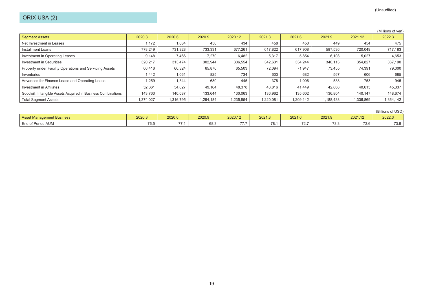|                                                               |           |           |           |           |           |           |           |           | (Millions of yen) |
|---------------------------------------------------------------|-----------|-----------|-----------|-----------|-----------|-----------|-----------|-----------|-------------------|
| <b>Segment Assets</b>                                         | 2020.3    | 2020.6    | 2020.9    | 2020.12   | 2021.3    | 2021.6    | 2021.9    | 2021.12   | 2022.3            |
| Net Investment in Leases                                      | 1.172     | 1,084     | 450       | 434       | 458       | 450       | 449       | 454       | 475               |
| Installment Loans                                             | 778,249   | 731,928   | 733,331   | 677,261   | 617,822   | 617,908   | 587,536   | 720,049   | 717,183           |
| Investment in Operating Leases                                | 9,148     | 7,466     | 7,270     | 6,482     | 5,317     | 5,854     | 6,108     | 5,027     | 4,653             |
| Investment in Securities                                      | 320.217   | 313.474   | 302.944   | 306,554   | 342,631   | 334.244   | 340.113   | 354.827   | 367,190           |
| Property under Facility Operations and Servicing Assets       | 66,416    | 66,324    | 65,876    | 65,503    | 72,094    | 71,947    | 73,455    | 74,391    | 79,000            |
| Inventories                                                   | 1.442     | 1,061     | 825       | 734       | 603       | 682       | 567       | 606       | 685               |
| Advances for Finance Lease and Operating Lease                | 259. ا    | 1,344     | 680       | 445       | 378       | 1,006     | 538       | 753       | 945               |
| Investment in Affiliates                                      | 52.361    | 54.027    | 49.164    | 48.378    | 43,816    | 41.449    | 42,868    | 40,615    | 45,337            |
| Goodwill, Intangible Assets Acquired in Business Combinations | 143,763   | 140,087   | 133,644   | 130,063   | 136,962   | 135,602   | 136,804   | 140.147   | 148,674           |
| <b>Total Segment Assets</b>                                   | 1,374,027 | 1,316,795 | 1,294,184 | 1,235,854 | 1,220,081 | 1,209,142 | 1,188,438 | 1,336,869 | 1,364,142         |
|                                                               |           |           |           |           |           |           |           |           |                   |

|                           |        |               |        |                                           |        |              |                            |         | (Billions of USD) |
|---------------------------|--------|---------------|--------|-------------------------------------------|--------|--------------|----------------------------|---------|-------------------|
| Asset Management Business | 2020.3 | 2020.6        | 2020.9 | 2020.12                                   | 2021.3 | 2021.6       | 2021.9                     | 2021.12 | 2022.3            |
| End of Period AUM         | 76.5   | $\rightarrow$ | 68.3   | $\rightarrow$ $\rightarrow$ $\rightarrow$ | 78.    | 707<br>1 Z.I | <b>ر د ح</b><br><b>U.U</b> | 73.6    | 73.9              |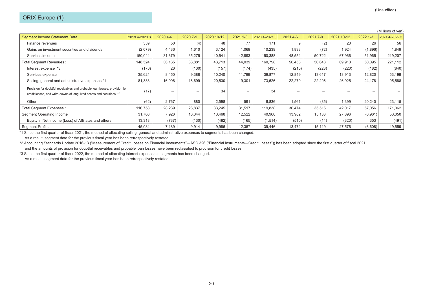|                                                                                                                                                     |               |          |          |            |              |               |          |          |            |          | (Millions of yen) |
|-----------------------------------------------------------------------------------------------------------------------------------------------------|---------------|----------|----------|------------|--------------|---------------|----------|----------|------------|----------|-------------------|
| <b>Segment Income Statement Data</b>                                                                                                                | 2019.4-2020.3 | 2020.4-6 | 2020.7-9 | 2020.10-12 | $2021.1 - 3$ | 2020.4-2021.3 | 2021.4-6 | 2021.7-9 | 2021.10-12 | 2022.1-3 | 2021.4-2022.3     |
| Finance revenues                                                                                                                                    | 559           | 50       | (4)      | 48         | 77           | 171           | 9        | (2)      | 23         | 26       | 56                |
| Gains on investment securities and dividends                                                                                                        | (2,079)       | 4,436    | 1,610    | 3,124      | 1,069        | 10,239        | 1,893    | (72)     | 1,924      | (1,896)  | 1,849             |
| Services income                                                                                                                                     | 150,044       | 31,679   | 35,275   | 40,541     | 42,893       | 150,388       | 48,554   | 50,722   | 67,966     | 51,965   | 219,207           |
| Total Segment Revenues :                                                                                                                            | 148,524       | 36,165   | 36,881   | 43,713     | 44,039       | 160,798       | 50,456   | 50,648   | 69,913     | 50,095   | 221,112           |
| Interest expense *3                                                                                                                                 | (170)         | 26       | (130)    | (157)      | (174)        | (435)         | (215)    | (223)    | (220)      | (182)    | (840)             |
| Services expense                                                                                                                                    | 35,624        | 8,450    | 9,388    | 10,240     | 11,799       | 39,877        | 12,849   | 13,617   | 13,913     | 12,820   | 53,199            |
| Selling, general and administrative expenses *1                                                                                                     | 81,383        | 16,996   | 16,699   | 20,530     | 19,301       | 73,526        | 22,279   | 22,206   | 26,925     | 24,178   | 95,588            |
| Provision for doubtful receivables and probable loan losses, provision for<br>credit losses, and write-downs of long-lived assets and securities *2 | (17)          |          |          | 34         |              | 34            |          |          |            |          |                   |
| Other                                                                                                                                               | (62)          | 2,767    | 880      | 2,598      | 591          | 6,836         | 1,561    | (85)     | 1,399      | 20,240   | 23,115            |
| Total Segment Expenses :                                                                                                                            | 116,758       | 28,239   | 26,837   | 33,245     | 31,517       | 119,838       | 36,474   | 35,515   | 42,017     | 57,056   | 171,062           |
| Segment Operating Income                                                                                                                            | 31,766        | 7,926    | 10,044   | 10,468     | 12,522       | 40,960        | 13,982   | 15,133   | 27,896     | (6,961)  | 50,050            |
| Equity in Net Income (Loss) of Affiliates and others                                                                                                | 13,318        | (737)    | (130)    | (482)      | (165)        | (1, 514)      | (510)    | (14)     | (320)      | 353      | (491)             |
| <b>Segment Profits</b>                                                                                                                              | 45,084        | 7,189    | 9,914    | 9,986      | 12,357       | 39,446        | 13,472   | 15,119   | 27,576     | (6,608)  | 49,559            |

As a result, segment data for the previous fiscal year has been retrospectively restated.

\*2 Accounting Standards Update 2016-13 ("Measurement of Credit Losses on Financial Instruments"―ASC 326 ("Financial Instruments―Credit Losses")) has been adopted since the first quarter of fiscal 2021, and the amounts of provision for doubtful receivables and probable loan losses have been reclassified to provision for credit losses.

\*3 Since the first quarter of fiscal 2022, the method of allocating interest expenses to segments has been changed.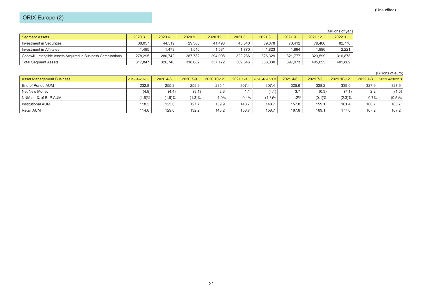# ORIX Europe (2)

|                                                               |         |         |         |         |         |         |         |         | (Millions of yen) |
|---------------------------------------------------------------|---------|---------|---------|---------|---------|---------|---------|---------|-------------------|
| <b>Segment Assets</b>                                         | 2020.3  | 2020.6  | 2020.9  | 2020.12 | 2021.3  | 2021.6  | 2021.9  | 2021.12 | 2022.3            |
| Investment in Securities                                      | 38.057  | 44.519  | 29.360  | 41.493  | 45.540  | 39.878  | 73.412  | 79.460  | 82,770            |
| Investment in Affiliates                                      | .495    | .479    | .540    | 1.581   | 1.770   | 1.823   | .884    | 1.996   | 2.221             |
| Goodwill, Intangible Assets Acquired in Business Combinations | 278.295 | 280.742 | 287.782 | 294.098 | 322.236 | 326.329 | 321.777 | 323.599 | 316,878           |
| <b>Total Segment Assets</b>                                   | 317.847 | 326.740 | 318,682 | 337,172 | 369,546 | 368,030 | 397,073 | 405,055 | 401,869           |

(Billions of euro)

| <b>Asset Management Business</b> | 2019.4-2020.3 | 2020.4-6 | 2020.7-9  | 2020.10-12 | 2021.1-3 | 2020.4-2021.3 | 2021.4-6 | 2021.7-9 | 2021.10-12 | $2022.1 - 3$ | 2021.4-2022.3 |
|----------------------------------|---------------|----------|-----------|------------|----------|---------------|----------|----------|------------|--------------|---------------|
| End of Period AUM                | 232.8         | 255.2    | 259.9     | 285.1      | 307.4    | 307.4         | 325.6    | 328.2    | 339.0      | 327.9        | 327.9         |
| Net New Money                    | (4.9)         | (4.4)    | (3.1)     | 2.3        |          | (4.1)         | 3.7      | (0.3)    | (7.1)      | 2.2          | (1.5)         |
| NNM as % of BoP AUM              | $(1.6)\%$     | (1.9)%   | $(1.3)\%$ | 1.0%       | 0.4%     | (1.8)%        | 1.2%     | (0.1)%   | (2.3)%     | $0.7\%$      | (0.5)%        |
| Institutional AUM                | 118.2         | 125.6    | 127.7     | 139.9      | 148.7    | 148.7         | 157.8    | 159.1    | 161.4      | 160.7        | 160.7         |
| <b>Retail AUM</b>                | 114.6         | 129.6    | 132.2     | 145.2      | 158.7    | 158.7         | 167.8    | 169.1    | 177.6      | 167.2        | 167.2         |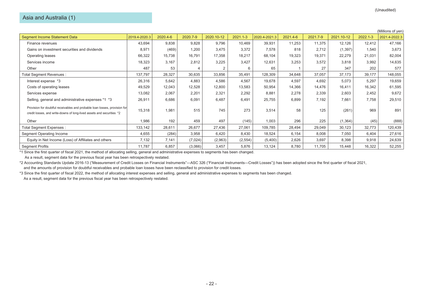## Asia and Australia (1)

|                                                                                                                                                     |               |          |          |            |              |               |          |          |            |              | (Millions of yen) |
|-----------------------------------------------------------------------------------------------------------------------------------------------------|---------------|----------|----------|------------|--------------|---------------|----------|----------|------------|--------------|-------------------|
| <b>Segment Income Statement Data</b>                                                                                                                | 2019.4-2020.3 | 2020.4-6 | 2020.7-9 | 2020.10-12 | $2021.1 - 3$ | 2020.4-2021.3 | 2021.4-6 | 2021.7-9 | 2021.10-12 | $2022.1 - 3$ | 2021.4-2022.3     |
| Finance revenues                                                                                                                                    | 43,694        | 9,838    | 9,828    | 9,796      | 10,469       | 39,931        | 11,253   | 11,375   | 12,126     | 12,412       | 47,166            |
| Gains on investment securities and dividends                                                                                                        | 8,971         | (469)    | 1,200    | 3,475      | 3,372        | 7,578         | 818      | 2,712    | (1, 397)   | 1,540        | 3,673             |
| Operating leases                                                                                                                                    | 66,322        | 15,738   | 16,791   | 17,358     | 18,217       | 68,104        | 19,323   | 19,371   | 22,279     | 21,031       | 82,004            |
| Services income                                                                                                                                     | 18,323        | 3,167    | 2,812    | 3,225      | 3,427        | 12,631        | 3,253    | 3,572    | 3,818      | 3,992        | 14,635            |
| Other                                                                                                                                               | 487           | 53       |          |            |              | 65            |          | 27       | 347        | 202          | 577               |
| Total Segment Revenues :                                                                                                                            | 137,797       | 28,327   | 30,635   | 33,856     | 35,491       | 128,309       | 34,648   | 37,057   | 37,173     | 39,177       | 148,055           |
| Interest expense *3                                                                                                                                 | 26,316        | 5,642    | 4,883    | 4,586      | 4,567        | 19,678        | 4,597    | 4,692    | 5,073      | 5,297        | 19,659            |
| Costs of operating leases                                                                                                                           | 49,529        | 12,043   | 12,528   | 12,800     | 13,583       | 50,954        | 14,366   | 14,476   | 16,411     | 16,342       | 61,595            |
| Services expense                                                                                                                                    | 13,082        | 2,067    | 2,201    | 2,321      | 2,292        | 8,881         | 2,278    | 2,339    | 2,603      | 2,452        | 9,672             |
| Selling, general and administrative expenses *1 *3                                                                                                  | 26,911        | 6,686    | 6,091    | 6,487      | 6,491        | 25,755        | 6,899    | 7,192    | 7,661      | 7,758        | 29,510            |
| Provision for doubtful receivables and probable loan losses, provision for<br>credit losses, and write-downs of long-lived assets and securities *2 | 15,318        | 1,981    | 515      | 745        | 273          | 3,514         | 58       | 125      | (261)      | 969          | 891               |
| Other                                                                                                                                               | 1,986         | 192      | 459      | 497        | (145)        | 1,003         | 296      | 225      | (1, 364)   | (45)         | (888)             |
| Total Segment Expenses :                                                                                                                            | 133,142       | 28,611   | 26,677   | 27,436     | 27,061       | 109,785       | 28,494   | 29,049   | 30,123     | 32,773       | 120,439           |
| Segment Operating Income                                                                                                                            | 4,655         | (284)    | 3,958    | 6,420      | 8,430        | 18,524        | 6,154    | 8,008    | 7,050      | 6,404        | 27,616            |
| Equity in Net Income (Loss) of Affiliates and others                                                                                                | 7,132         | 7,141    | (7,024)  | (2,963)    | (2, 554)     | (5,400)       | 2,626    | 3,697    | 8,398      | 9,918        | 24,639            |
| <b>Segment Profits</b>                                                                                                                              | 11,787        | 6,857    | (3,066)  | 3,457      | 5,876        | 13,124        | 8,780    | 11,705   | 15,448     | 16,322       | 52,255            |

\*1 Since the first quarter of fiscal 2021, the method of allocating selling, general and administrative expenses to segments has been changed.

As a result, segment data for the previous fiscal year has been retrospectively restated.

\*2 Accounting Standards Update 2016-13 ("Measurement of Credit Losses on Financial Instruments"―ASC 326 ("Financial Instruments―Credit Losses")) has been adopted since the first quarter of fiscal 2021, and the amounts of provision for doubtful receivables and probable loan losses have been reclassified to provision for credit losses.

\*3 Since the first quarter of fiscal 2022, the method of allocating interest expenses and selling, general and administrative expenses to segments has been changed.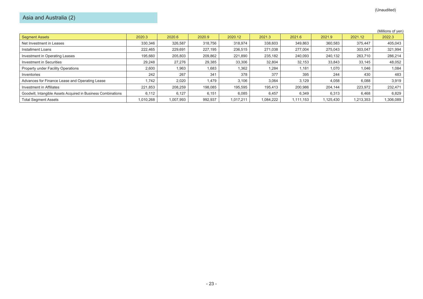# Asia and Australia (2)

|                                                               |           |           |         |           |           |           |          |           | (Millions of yen) |
|---------------------------------------------------------------|-----------|-----------|---------|-----------|-----------|-----------|----------|-----------|-------------------|
| <b>Segment Assets</b>                                         | 2020.3    | 2020.6    | 2020.9  | 2020.12   | 2021.3    | 2021.6    | 2021.9   | 2021.12   | 2022.3            |
| Net Investment in Leases                                      | 330,346   | 326,587   | 318,756 | 318,974   | 338,603   | 349,863   | 360,583  | 375.447   | 405,043           |
| Installment Loans                                             | 222,465   | 229,691   | 227,195 | 236,515   | 271,038   | 277.004   | 275.043  | 303.047   | 321,994           |
| Investment in Operating Leases                                | 195,660   | 205,803   | 209,862 | 221,890   | 235,182   | 240,093   | 240,132  | 263,710   | 286,214           |
| Investment in Securities                                      | 29,248    | 27,276    | 29,385  | 33,306    | 32,804    | 32,153    | 33,843   | 33,145    | 48,052            |
| Property under Facility Operations                            | 2,600     | 1,963     | 1,683   | 1,362     | 1,284     | 1,181     | 1,070    | 1,046     | 1,084             |
| Inventories                                                   | 242       | 267       | 341     | 378       | 377       | 395       | 244      | 430       | 483               |
| Advances for Finance Lease and Operating Lease                | 1,742     | 2,020     | 1,479   | 3,106     | 3,064     | 3,129     | 4,058    | 6,088     | 3,919             |
| Investment in Affiliates                                      | 221.853   | 208,259   | 198,085 | 195,595   | 195.413   | 200.986   | 204.144  | 223,972   | 232,471           |
| Goodwill, Intangible Assets Acquired in Business Combinations | 6,112     | 6,127     | 6,151   | 6,085     | 6,457     | 6,349     | 6,313    | 6,468     | 6,829             |
| <b>Total Segment Assets</b>                                   | 1.010.268 | 1,007,993 | 992.937 | 1.017.211 | 1.084.222 | 1.111.153 | ,125,430 | 1,213,353 | ,306,089          |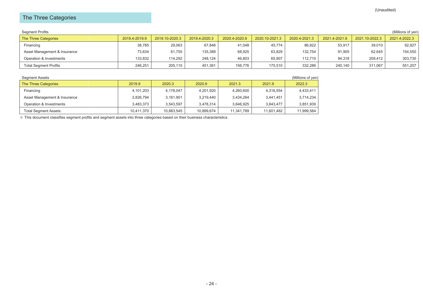# The Three Categories

| Segment Profits              |               |                |               |               |                |               |               |                | (Millions of yen) |
|------------------------------|---------------|----------------|---------------|---------------|----------------|---------------|---------------|----------------|-------------------|
| The Three Categories         | 2019.4-2019.9 | 2019.10-2020.3 | 2019.4-2020.3 | 2020.4-2020.9 | 2020.10-2021.3 | 2020.4-2021.3 | 2021.4-2021.9 | 2021.10-2022.3 | 2021.4-2022.3     |
| Financing                    | 38,785        | 29,063         | 67,848        | 41,048        | 45,774         | 86,822        | 53,917        | 39,010         | 92,927            |
| Asset Management & Insurance | 73,634        | 61,755         | 135,389       | 68,925        | 63,829         | 132.754       | 91,905        | 62,645         | 154,550           |
| Operation & Investments      | 133.832       | 114.292        | 248.124       | 46.803        | 65,907         | 112.710       | 94.318        | 209.412        | 303,730           |
| <b>Total Segment Profits</b> | 246.251       | 205.110        | 451,361       | 156,776       | 175,510        | 332,286       | 240.140       | 311.067        | 551,207           |

| Segment Assets               |            |            |            |            |            | (Millions of yen) |
|------------------------------|------------|------------|------------|------------|------------|-------------------|
| The Three Categories         | 2019.9     | 2020.3     | 2020.9     | 2021.3     | 2021.9     | 2022.3            |
| Financing                    | 4,101,203  | 4,178,047  | 4,201,920  | 4,260,600  | 4,316,554  | 4,433,411         |
| Asset Management & Insurance | 2,826,794  | 3,161,901  | 3,219,440  | 3,434,264  | 3.441.451  | 3,714,234         |
| Operation & Investments      | 3,483,373  | 3.543.597  | 3.478.314  | 3.646.925  | 3.843.477  | 3,851,939         |
| <b>Total Segment Assets</b>  | 10.411.370 | 10,883,545 | 10,899,674 | 11,341,789 | 11.601.482 | 11,999,584        |

※ This document classifies segment profits and segment assets into three categories based on their business characteristics.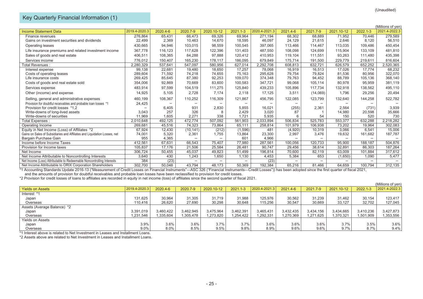# Key Quarterly Financial Information (1)

|                                                                           |               |          |           |            |              |               |          |          |            |              | (Millions of yen) |
|---------------------------------------------------------------------------|---------------|----------|-----------|------------|--------------|---------------|----------|----------|------------|--------------|-------------------|
| <b>Income Statement Data</b>                                              | 2019.4-2020.3 | 2020.4-6 | 2020.7-9  | 2020.10-12 | $2021.1 - 3$ | 2020.4-2021.3 | 2021.4-6 | 2021.7-9 | 2021.10-12 | $2022.1 - 3$ | 2021.4-2022.3     |
| Finance revenues                                                          | 276,864       | 65,431   | 66,473    | 69,326     | 69,964       | 271,194       | 68,302   | 68,889   | 71,952     | 70,446       | 279,589           |
| Gains on investment securities and dividends                              | 22,499        | 2,369    | 10,463    | 14,670     | 18,595       | 46,097        | 24,129   | 21,615   | 2,646      | 8,120        | 56,510            |
| Operating leases                                                          | 430,665       | 94,946   | 103,015   | 98,559     | 100,545      | 397,065       | 113,466  | 114,467  | 113,035    | 109,486      | 450,454           |
| Life insurance premiums and related investment income                     | 367,778       | 116,123  | 117,628   | 122,396    | 131,403      | 487,550       | 108,098  | 124,699  | 115,904    | 133,109      | 481,810           |
| Sales of goods and real estate                                            | 406,511       | 108,365  | 84,288    | 97.888     | 120,412      | 410,953       | 119,104  | 111,551  | 93,263     | 111,480      | 435,398           |
| Services income                                                           | 776,012       | 150,407  | 165.230   | 178,117    | 186,095      | 679,849       | 175.714  | 191,500  | 229.779    | 219,611      | 816,604           |
| Total Revenues :                                                          | 2,280,329     | 537,641  | 547.097   | 580,956    | 627,014      | 2,292,708     | 608,813  | 632,721  | 626,579    | 652,252      | 2,520,365         |
| Interest expense                                                          | 99,138        | 22,681   | 19.480    | 18,650     | 17.257       | 78,068        | 16,919   | 16.513   | 17,026     | 17.774       | 68,232            |
| Costs of operating leases                                                 | 289,604       | 71,592   | 74,218    | 74,655     | 75,163       | 295,628       | 79,754   | 79,824   | 81,536     | 80,956       | 322,070           |
| Life insurance costs                                                      | 269,425       | 85,645   | 87,380    | 92,253     | 109,070      | 374,348       | 79,763   | 94,452   | 88,789     | 105,136      | 368,140           |
| Costs of goods and real estate sold                                       | 354,006       | 92,869   | 70.669    | 83,600     | 100,583      | 347,721       | 99,068   | 105.114  | 80,978     | 95,959       | 381,119           |
| Services expense                                                          | 483,914       | 97,599   | 104,519   | 111,275    | 125,840      | 439,233       | 105,896  | 117,734  | 132,918    | 138,562      | 495,110           |
| Other (income) and expense                                                | 14,925        | 5,105    | 2,728     | 7.174      | 2.118        | 17,125        | 3,511    | (14,069) | 1,796      | 29,256       | 20,494            |
| Selling, general and administrative expenses                              | 460,199       | 108,367  | 110,252   | 116.309    | 121.867      | 456.795       | 122,085  | 123,799  | 132,640    | 144,258      | 522,782           |
| Provision for doubtful receivables and probable loan losses *1            | 24,425        |          |           |            |              |               |          |          |            |              |                   |
| Provision for credit losses *1.2                                          |               | 6,405    | 931       | 2,830      | 5.855        | 16.021        | (255)    | 2,361    | 2,564      | (731)        | 3,939             |
| Write-downs of long-lived assets                                          | 3.043         | 257      | 326       | -8         | 2.429        | 3,020         | 87       |          | 14,980     | 20,598       | 35,666            |
| Write-downs of securities                                                 | 11.969        | 1,605    | 2.271     | 338        | 1.721        | 5,935         | 6        | 54       | 150        | 520          | 730               |
| Total Expenses :                                                          | 2,010,648     | 492,125  | 472,774   | 507,092    | 561,903      | 2,033,894     | 506,834  | 525,783  | 553,377    | 632,288      | 2,218,282         |
| Operating Income                                                          | 269,681       | 45,516   | 74,323    | 73,864     | 65,111       | 258,814       | 101,979  | 106,938  | 73,202     | 19,964       | 302,083           |
| Equity in Net Income (Loss) of Affiliates *2                              | 67.924        | 12,430   | (10, 141) | (212)      | (1,596)      | 481           | (4,920)  | 10,319   | 3,066      | 6,541        | 15,006            |
| Gains on Sales of Subsidiaries and Affiliates and Liquidation Losses, net | 74,001        | 5,320    | 2,361     | 1,755      | 13,864       | 23,300        | 2,997    | 3,476    | 19,632     | 161,682      | 187,787           |
| Bargain Purchase Gain                                                     | 955           | 4,365    |           |            | 601          | 4,966         |          |          |            |              |                   |
| Income before Income Taxes                                                | 412,561       | 67,631   | 66,543    | 75,407     | 77,980       | 287,561       | 100,056  | 120,733  | 95,900     | 188,187      | 504,876           |
| Provision for Income taxes                                                | 105,837       | 17,176   | 21,506    | 25,584     | 26,481       | 90,747        | 29,456   | 38,614   | 32,891     | 86,303       | 187,264           |
| Net Income                                                                | 306,724       | 50,455   | 45.037    | 49,823     | 51,499       | 196,814       | 70,600   | 82,119   | 63,009     | 101,884      | 317,612           |
| Net Income Attributable to Noncontrolling Interests                       | 3,640         | 430      | 1,243     | 1,650      | 1,130        | 4,453         | 5,384    | 653      | (1,650)    | 1,090        | 5,477             |
| Net Income (Loss) Attributable to Redeemable Noncontrolling Interests     | 384           | (23)     |           |            |              | (23)          |          |          |            |              |                   |
| Net Income Attributable to ORIX Corporation Shareholders                  | 302,700       | 50,048   | 43,794    | 48,173     | 50,369       | 192,384       | 65,216   | 81,466   | 64,659     | 100,794      | 312,135           |

\*1 Accounting Standards Update 2016-13 ("Measurement of Credit Losses on Financial Instruments"―ASC 326 ("Financial Instruments―Credit Losses")) has been adopted since the first quarter of fiscal 2021, and the amounts of provision for doubtful receivables and probable loan losses have been reclassified to provision for credit losses.

\*2 Provision for credit losses of loans to affiliates are recorded in equity in net income (loss) of affiliates since the second quarter of fiscal 2021.

|                             |               |           |           |            |              |               |           |           |            |           | (Millions of yen) |
|-----------------------------|---------------|-----------|-----------|------------|--------------|---------------|-----------|-----------|------------|-----------|-------------------|
| <b>Yields on Assets</b>     | 2019.4-2020.3 | 2020.4-6  | 2020.7-9  | 2020.10-12 | $2021.1 - 3$ | 2020.4-2021.3 | 2021.4-6  | 2021.7-9  | 2021.10-12 | 2022.1-3  | 2021.4-2022.3     |
| Interest *1                 |               |           |           |            |              |               |           |           |            |           |                   |
| Japan                       | 131.625       | 30.964    | 31.305    | 31.719     | 31.988       | 125.976       | 30,562    | 31.239    | 31.462     | 30.154    | 123.417           |
| Overseas                    | 110,416       | 26,620    | 27,690    | 30,298     | 30,648       | 115,256       | 30,547    | 30,669    | 33,127     | 32,702    | 127,045           |
| Assets (Average Balance) *2 |               |           |           |            |              |               |           |           |            |           |                   |
| Japan                       | 3,391,019     | 3,460,422 | 3,462,945 | 3,475,964  | 3,462,391    | 3,465,431     | 3,432,435 | 3,434,156 | 3,434,665  | 3,410,236 | 3,427,873         |
| Overseas                    | 1,231,546     | 1.335.604 | .305.478  | 1.273.820  | 1.254.422    | 1,292,331     | 1,270,369 | 1,271,625 | 1,370,321  | 1,501,909 | ,353,556          |
| <b>Yields on Assets</b>     |               |           |           |            |              |               |           |           |            |           |                   |
| Japan                       | 3.9%          | 3.6%      | 3.6%      | 3.7%       | 3.7%         | 3.6%          | 3.6%      | 3.6%      | 3.7%       | 3.5%      | 3.6%              |
| Overseas                    | 9.0%          | $8.0\%$   | 8.5%      | 9.5%       | 9.8%         | 8.9%          | 9.6%      | 9.6%      | 9.7%       | 8.7%      | 9.4%              |

\*1 Interest above is related to Net Investment in Leases and Installment Loans.

\*2 Assets above are related to Net Investment in Leases and Installment Loans.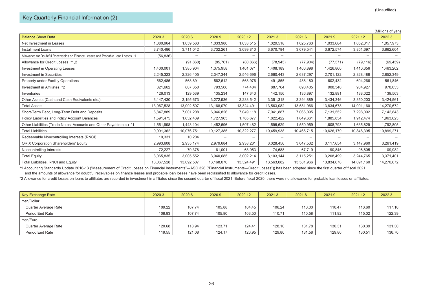# Key Quarterly Financial Information (2)

|                                                                                  |            |            |            |            |            |            |            |            | (Millions of yen) |
|----------------------------------------------------------------------------------|------------|------------|------------|------------|------------|------------|------------|------------|-------------------|
| <b>Balance Sheet Data</b>                                                        | 2020.3     | 2020.6     | 2020.9     | 2020.12    | 2021.3     | 2021.6     | 2021.9     | 2021.12    | 2022.3            |
| Net Investment in Leases                                                         | 1,080,964  | 1,059,563  | 1,033,980  | 1,033,515  | 1,029,518  | 1,025,763  | 1,033,684  | 1,052,017  | 1,057,973         |
| <b>Installment Loans</b>                                                         | 3,740,486  | 3,711,042  | 3,732,261  | 3,699,810  | 3,670,784  | 3,679,541  | 3,672,574  | 3,851,697  | 3,862,604         |
| Allowance for Doubtful Receivables on Finance Leases and Probable Loan Losses *1 | (56, 836)  |            |            |            |            |            |            |            |                   |
| Allowance for Credit Losses *1.2                                                 |            | (91, 860)  | (85, 761)  | (80, 866)  | (78, 945)  | (77, 904)  | (77, 571)  | (79, 116)  | (69, 459)         |
| Investment in Operating Leases                                                   | 1,400,001  | 1,385,904  | 1,375,958  | 1,401,071  | 1,408,189  | 1,406,898  | 1,426,860  | 1,410,656  | 1,463,202         |
| <b>Investment in Securities</b>                                                  | 2,245,323  | 2,326,405  | 2,347,344  | 2,546,696  | 2,660,443  | 2,637,297  | 2,701,122  | 2,828,488  | 2,852,349         |
| Property under Facility Operations                                               | 562,485    | 568,891    | 562,612    | 568,976    | 491,855    | 488,180    | 602,432    | 604,266    | 561,846           |
| Investment in Affiliates *2                                                      | 821,662    | 807,350    | 793,506    | 774,404    | 887,764    | 890,405    | 908,340    | 934,927    | 978,033           |
| Inventories                                                                      | 126,013    | 129,539    | 135,234    | 147,343    | 142,156    | 136,897    | 132,891    | 138,022    | 139,563           |
| Other Assets (Cash and Cash Equivalents etc.)                                    | 3,147,430  | 3,195,673  | 3,272,936  | 3,233,542  | 3,351,318  | 3,394,889  | 3,434,346  | 3,350,203  | 3,424,561         |
| <b>Total Assets</b>                                                              | 13,067,528 | 13,092,507 | 13,168,070 | 13,324,491 | 13,563,082 | 13,581,966 | 13,834,678 | 14,091,160 | 14,270,672        |
| Short-Term Debt, Long-Term Debt and Deposits                                     | 6,847,889  | 7,001,208  | 6,946,826  | 7,049,118  | 7,041,887  | 7,066,095  | 7,131,552  | 7,298,092  | 7,142,843         |
| Policy Liabilities and Policy Account Balances                                   | 1,591,475  | 1,632,439  | 1,727,963  | 1,765,677  | 1,822,422  | 1,849,661  | 1,885,834  | 1,912,474  | 1,963,623         |
| Other Liabilities (Trade Notes, Accounts and Other Payable etc.) *1              | 1,551,998  | 1,443,104  | 1,452,596  | 1,507,482  | 1,595,629  | 1,550,959  | 1,608,793  | 1,635,829  | 1,792,805         |
| <b>Total Liabilities</b>                                                         | 9,991,362  | 10,076,751 | 10,127,385 | 10,322,277 | 10,459,938 | 10,466,715 | 10,626,179 | 10,846,395 | 10,899,271        |
| Redeemable Noncontrolling Interests (RNCI)                                       | 10,331     | 10,204     |            |            |            |            |            |            |                   |
| <b>ORIX Corporation Shareholders' Equity</b>                                     | 2,993,608  | 2,935,174  | 2,979,684  | 2,938,261  | 3,028,456  | 3,047,532  | 3.117.654  | 3,147,960  | 3,261,419         |
| Noncontrolling Interests                                                         | 72,227     | 70,378     | 61,001     | 63,953     | 74,688     | 67,719     | 90,845     | 96,805     | 109,982           |
| <b>Total Equity</b>                                                              | 3,065,835  | 3,005,552  | 3,040,685  | 3,002,214  | 3,103,144  | 3,115,251  | 3,208,499  | 3,244,765  | 3,371,401         |
| Total Liabilities, RNCI and Equity                                               | 13,067,528 | 13,092,507 | 13,168,070 | 13,324,491 | 13,563,082 | 13,581,966 | 13,834,678 | 14,091,160 | 14,270,672        |

\*1 Accounting Standards Update 2016-13 ("Measurement of Credit Losses on Financial Instruments"―ASC 326 ("Financial Instruments―Credit Losses")) has been adopted since the first quarter of fiscal 2021,

and the amounts of allowance for doubtful receivables on finance leases and probable loan losses have been reclassified to allowance for credit losses.

\*2 Allowance for credit losses on loans to affiliates are recorded in investment in affiliates since the second quarter of fiscal 2021. Before fiscal 2020, there were no allowance for probable loan losses on affiliates.

| Key Exchange Rate    | 2020.3 | 2020.6 | 2020.9 | 2020.12 | 2021.3 | 2021.6 | 2021.9 | 2021.12 | 2022.3 |
|----------------------|--------|--------|--------|---------|--------|--------|--------|---------|--------|
| Yen/Dollar           |        |        |        |         |        |        |        |         |        |
| Quarter Average Rate | 109.22 | 107.74 | 105.88 | 104.45  | 106.24 | 110.00 | 110.47 | 113.60  | 117.10 |
| Period End Rate      | 108.83 | 107.74 | 105.80 | 103.50  | 110.71 | 110.58 | 111.92 | 115.02  | 122.39 |
| Yen/Euro             |        |        |        |         |        |        |        |         |        |
| Quarter Average Rate | 120.68 | 118.94 | 123.71 | 124.41  | 128.10 | 131.78 | 130.31 | 130.39  | 131.30 |
| Period End Rate      | 119.55 | 121.08 | 124.17 | 126.95  | 129.80 | 131.58 | 129.86 | 130.51  | 136.70 |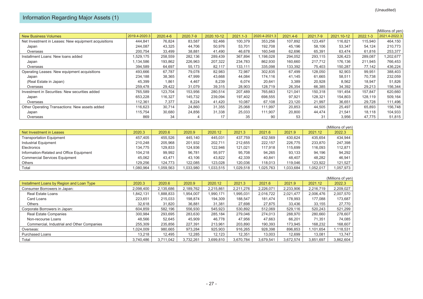|                                                      |               |          |          |            |              |               |          |          |            |              | (Millions of yen) |
|------------------------------------------------------|---------------|----------|----------|------------|--------------|---------------|----------|----------|------------|--------------|-------------------|
| <b>New Business Volumes</b>                          | 2019.4-2020.3 | 2020.4-6 | 2020.7-9 | 2020.10-12 | $2021.1 - 3$ | 2020.4-2021.3 | 2021.4-6 | 2021.7-9 | 2021.10-12 | $2022.1 - 3$ | 2021.4-2022.3     |
| Net Investment in Leases: New equipment acquisitions | 444,841       | 76,824   | 83,587   | 92,466     | 100,379      | 353,256       | 107,892  | 123,497  | 116,821    | 115,940      | 464,150           |
| Japan                                                | 244,087       | 43,325   | 44,706   | 50,976     | 53,701       | 192,708       | 45,196   | 58,106   | 53,347     | 54,124       | 210,773           |
| Overseas                                             | 200,754       | 33,499   | 38,881   | 41,490     | 46.678       | 160,548       | 62,696   | 65,391   | 63,474     | 61,816       | 253,377           |
| Installment Loans: New loans added                   | 1,529,175     | 258,559  | 282,136  | 289,439    | 367,894      | 1,198,028     | 294,052  | 293,115  | 326,423    | 289,087      | ,202,677          |
| Japan                                                | 1,134,586     | 193,862  | 226,963  | 207,322    | 234,783      | 862,930       | 160,660  | 217,712  | 176,136    | 211,945      | 766,453           |
| Overseas                                             | 394,589       | 64.697   | 55,173   | 82.117     | 133.111      | 335,098       | 133,392  | 75,403   | 150,287    | 77,142       | 436,224           |
| Operating Leases: New equipment acquisitions         | 493,666       | 67.787   | 79.078   | 82,983     | 72,987       | 302,835       | 67,499   | 128,050  | 92,903     | 99,951       | 388,403           |
| Japan                                                | 234,188       | 38,365   | 47,999   | 43,668     | 44,084       | 174.116       | 41,145   | 61,665   | 58,511     | 70,738       | 232,059           |
| (Real Estate in Japan)                               | 45,399        | 1,861    | 4,467    | 8,239      | 6,074        | 20,641        | 3,389    | 20,928   | 8,562      | 18,947       | 51,826            |
| Overseas                                             | 259,478       | 29,422   | 31,079   | 39,315     | 28,903       | 128,719       | 26,354   | 66,385   | 34,392     | 29,213       | 156,344           |
| Investment in Securities: New securities added       | 765,589       | 123,704  | 153,956  | 280,514    | 207,489      | 765,663       | 121,041  | 150,318  | 191,454    | 157,847      | 620,660           |
| Japan                                                | 653,228       | 116,327  | 145,732  | 239,094    | 197,402      | 698,555       | 97,921   | 128,321  | 154,803    | 128,119      | 509,164           |
| Overseas                                             | 112,361       | 7,377    | 8,224    | 41,420     | 10,087       | 67,108        | 23,120   | 21,997   | 36,651     | 29,728       | 111,496           |
| Other Operating Transactions: New assets added       | 116,623       | 30,714   | 24,860   | 31,355     | 25,068       | 111,997       | 20,853   | 44,505   | 25,497     | 65,893       | 156,748           |
| Japan                                                | 115,754       | 30,680   | 24,856   | 31,338     | 25,033       | 111,907       | 20,800   | 44,474   | 21,541     | 18,118       | 104,933           |
| Overseas                                             | 869           | 34       |          | 17         | 35           | 90            | 53       | 31       | 3,956      | 47,775       | 51,815            |

|                                          |           |           |           |           |          |           |           |           | (Millions of ven) |
|------------------------------------------|-----------|-----------|-----------|-----------|----------|-----------|-----------|-----------|-------------------|
| Net Investment in Leases                 | 2020.3    | 2020.6    | 2020.9    | 2020.12   | 2021.3   | 2021.6    | 2021.9    | 2021.12   | 2022.3            |
| <b>Transportation Equipment</b>          | 457.405   | 455.526   | 445.140   | 445.031   | 437.759  | 432,569   | 430.624   | 435.654   | 434,944           |
| Industrial Equipment                     | 210.248   | 205,968   | 201,932   | 202.711   | 212,655  | 222.157   | 226,775   | 233,870   | 247,398           |
| Electronics                              | 134.775   | 129.833   | 124,936   | 122.946   | 121.021  | 117,918   | 115.699   | 116,093   | 112,871           |
| Information-Related and Office Equipment | 104.218   | 99.992    | 96.781    | 95.977    | 95.708   | 94.265    | 93.133    | 94.196    | 94,292            |
| <b>Commercial Services Equipment</b>     | 45.062    | 43.471    | 43.106    | 43.822    | 42.339   | 40.841    | 48.407    | 48.282    | 46,941            |
| <b>Others</b>                            | 129.256   | 124.773   | 122.085   | 123.028   | 120.036  | 118.013   | 119.046   | 123,922   | 121,527           |
| Total                                    | 1,080,964 | 1,059,563 | 1,033,980 | 1,033,515 | ,029,518 | 1,025,763 | 1,033,684 | 1,052,017 | 1,057,973         |

|                                            |           |           |           |           |           |           |           |           | (Millions of yen) |
|--------------------------------------------|-----------|-----------|-----------|-----------|-----------|-----------|-----------|-----------|-------------------|
| Installment Loans by Region and Loan Type  | 2020.3    | 2020.6    | 2020.9    | 2020.12   | 2021.3    | 2021.6    | 2021.9    | 2021.12   | 2022.3            |
| Consumer Borrowers in Japan:               | 2.098.400 | 2.135.686 | 2.189.762 | 2,215,861 | 2,211,276 | 2,226,071 | 2,233,906 | 2.216.719 | 2,209,027         |
| <b>Real Estate Loans</b>                   | 1,842,131 | 1,888,833 | 1,954,007 | 1,990,171 | .995,031  | 2,016,722 | 2,021,477 | 2,006,476 | 2,007,570         |
| Card Loans                                 | 223,651   | 215,033   | 198,874   | 194,309   | 188,547   | 181,474   | 178,993   | 177,088   | 173,687           |
| Others                                     | 32.618    | 31.820    | 36,881    | 31,381    | 27.698    | 27.875    | 33,436    | 33,155    | 27,770            |
| Corporate Borrowers in Japan:              | 604,859   | 582.196   | 556,930   | 545,923   | 530,892   | 512,069   | 529,116   | 520,243   | 521,299           |
| <b>Real Estate Companies</b>               | 300,984   | 293,695   | 283,630   | 285.184   | 279,046   | 274,013   | 288,970   | 280,660   | 278,607           |
| Non-recourse Loans                         | 48.566    | 52,645    | 45,909    | 46,778    | 47,956    | 47,663    | 66.201    | 71,351    | 74,085            |
| Commercial, Industrial and Other Companies | 255.309   | 235.856   | 227.391   | 213.961   | 203.890   | 190.393   | 173.945   | 168,232   | 168,607           |
| Overseas:                                  | 1.024.009 | 980,665   | 973,284   | 925.903   | 916,265   | 928.398   | 896,853   | 1,101,654 | 1,118,531         |
| <b>Purchased Loans</b>                     | 13.218    | 12,495    | 12,285    | 12.123    | 12,351    | 13.003    | 12.699    | 13.081    | 13,747            |
| Total                                      | 3,740,486 | 3.711.042 | 3.732.261 | 3,699,810 | 3,670,784 | 3,679,541 | 3.672.574 | 3,851,697 | 3,862,604         |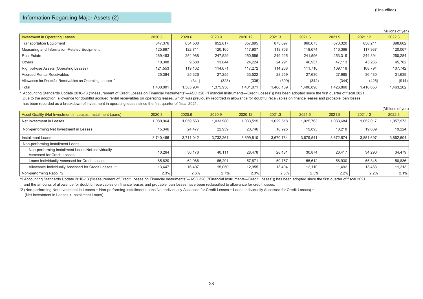# Information Regarding Major Assets (2)

|                                                          |           |           |           |           |           |           |         |           | (Millions of yen) |
|----------------------------------------------------------|-----------|-----------|-----------|-----------|-----------|-----------|---------|-----------|-------------------|
| Investment in Operating Leases                           | 2020.3    | 2020.6    | 2020.9    | 2020.12   | 2021.3    | 2021.6    | 2021.9  | 2021.12   | 2022.3            |
| <b>Transportation Equipment</b>                          | 847.376   | 854,500   | 852,817   | 857.895   | 873,697   | 860,673   | 873,320 | 858,211   | 898,602           |
| Measuring and Information-Related Equipment              | 125,897   | 122.711   | 120.165   | 117.907   | 118.758   | 118.674   | 116.369 | 117,937   | 120,067           |
| <b>Real Estate</b>                                       | 269.483   | 254.988   | 247.529   | 250.586   | 249,225   | 241.596   | 253,319 | 244,394   | 260,284           |
| Others                                                   | 10.308    | 9,588     | 13,844    | 24.224    | 24,291    | 46,957    | 47,113  | 45,265    | 45,782            |
| Right-of-use Assets (Operating Leases)                   | 121.553   | 119.132   | 114.671   | 117.272   | 114.268   | 111.710   | 109,118 | 108,794   | 107,742           |
| <b>Accrued Rental Receivables</b>                        | 25,384    | 25,326    | 27,255    | 33,522    | 28,259    | 27,630    | 27,965  | 36,480    | 31,639            |
| Allowance for Doubtful Receivables on Operating Leases * |           | (341)     | (323)     | (335)     | (309)     | (342)     | (344)   | (425)     | (914)             |
| Total                                                    | 1,400,001 | 1,385,904 | 1,375,958 | 1,401,071 | 1,408,189 | 1,406,898 | 426,860 | 1,410,656 | 1,463,202         |

\* Accounting Standards Update 2016-13 ("Measurement of Credit Losses on Financial Instruments"—ASC 326 ("Financial Instruments—Credit Losses")) has been adopted since the first quarter of fiscal 2021. Due to the adoption, allowance for doubtful accrued rental receivables on operating leases, which was previously recorded in allowance for doubtful receivables on finance leases and probable loan losses, has been recorded as a breakdown of investment in operating leases since the first quarter of fiscal 2021.

|                                                                                 |           |           |           |           |           |           |           |           | (Millions of yen) |
|---------------------------------------------------------------------------------|-----------|-----------|-----------|-----------|-----------|-----------|-----------|-----------|-------------------|
| Asset Quality (Net Investment in Leases, Installment Loans)                     | 2020.3    | 2020.6    | 2020.9    | 2020.12   | 2021.3    | 2021.6    | 2021.9    | 2021.12   | 2022.3            |
| Net Investment in Leases                                                        | 1,080,964 | 1,059,563 | 1,033,980 | 1,033,515 | 1,029,518 | 1,025,763 | 1,033,684 | 1,052,017 | 1,057,973         |
| Non-performing Net Investment in Leases                                         | 15.346    | 24.477    | 22,939    | 20.746    | 18,925    | 19.893    | 18.218    | 19,689    | 19,224            |
| Installment Loans                                                               | 3.740.486 | 3.711.042 | 3.732.261 | 3,699,810 | 3.670.784 | 3.679.541 | 3.672.574 | 3.851.697 | 3,862,604         |
| Non-performing Installment Loans                                                |           |           |           |           |           |           |           |           |                   |
| Non-performing Installment Loans Not Individually<br>Assessed for Credit Losses | 10.264    | 36.176    | 40.111    | 28.478    | 28,181    | 30,874    | 26.417    | 34,290    | 34,479            |
| Loans Individually Assessed for Credit Losses                                   | 85,820    | 62,986    | 65,291    | 57,871    | 59,757    | 55,612    | 58,930    | 55,346    | 50,836            |
| Allowance Individually Assessed for Credit Losses *1                            | 13.447    | 16,407    | 15,050    | 12,955    | 13,404    | 12,110    | 11.492    | 13,433    | 11,213            |
| Non-performing Ratio *2                                                         | 2.3%      | 2.6%      | 2.7%      | 2.3%      | 2.3%      | 2.3%      | 2.2%      | 2.2%      | 2.1%              |

\*1 Accounting Standards Update 2016-13 ("Measurement of Credit Losses on Financial Instruments"―ASC 326 ("Financial Instruments―Credit Losses")) has been adopted since the first quarter of fiscal 2021,

and the amounts of allowance for doubtful receivables on finance leases and probable loan losses have been reclassified to allowance for credit losses.

\*2 (Non-performing Net Investment in Leases + Non-performing Installment Loans Not Individually Assessed for Credit Losses + Loans Individually Assessed for Credit Losses) ÷ (Net Investment in Leases + Installment Loans)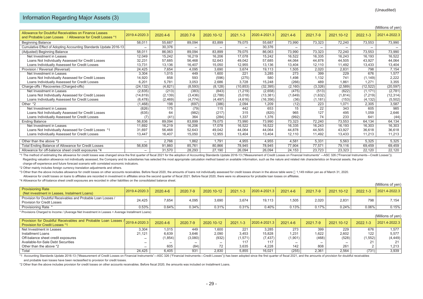|                                                                                                                   |               |          |          |            |           |               |          |          |            |              | (Millions of yen) |
|-------------------------------------------------------------------------------------------------------------------|---------------|----------|----------|------------|-----------|---------------|----------|----------|------------|--------------|-------------------|
| Allowance for Doubtful Receivables on Finance Leases<br>and Probable Loan Losses / Allowance for Credit Losses *1 | 2019.4-2020.3 | 2020.4-6 | 2020.7-9 | 2020.10-12 | 2021.1-3  | 2020.4-2021.3 | 2021.4-6 | 2021.7-9 | 2021.10-12 | $2022.1 - 3$ | 2021.4-2022.3     |
| <b>Beginning Balance</b>                                                                                          | 58,011        | 55,687   | 89.094   | 83,899     | 79,075    | 55,687        | 73,990   | 73,323   | 72,240     | 73,553       | 73,990            |
| Cumulative Effect of Adopting Accounting Standards Update 2016-13                                                 |               | 30,376   |          |            |           | 30,376        |          |          |            |              |                   |
| (Adjusted) Beginning Balance                                                                                      | 58,011        | 86,063   | 89,094   | 83,899     | 79,075    | 86,063        | 73,990   | 73,323   | 72,240     | 73,553       | 73,990            |
| Net Investment in Leases                                                                                          | 12.049        | 15,242   | 16.219   | 16,206     | 17,078    | 15,242        | 16,522   | 16,335   | 16,243     | 16,193       | 16,522            |
| Loans Not Individually Assessed for Credit Losses                                                                 | 32,231        | 57,685   | 56.468   | 52,643     | 49.042    | 57,685        | 44,064   | 44,878   | 44.505     | 43,927       | 44,064            |
| Loans Individually Assessed for Credit Losses                                                                     | 13,731        | 13,136   | 16,407   | 15,050     | 12,955    | 13,136        | 13,404   | 12,110   | 11,492     | 13,433       | 13,404            |
| Provision / Reversal (Reversal)                                                                                   | 24,425        | 7,654    | 4,095    | 3,690      | 3,674     | 19,113        | 1,505    | 2,020    | 2,831      | 798          | 7,154             |
| Net Investment in Leases                                                                                          | 3,304         | 1,015    | 449      | 1,600      | 221       | 3,285         | 273      | 399      | 229        | 676          | 1,577             |
| Loans Not Individually Assessed for Credit Losses                                                                 | 14,920        | 858      | 593      | (596)      | (275)     | 580           | 1,498    | 1,132    | 741        | (1, 149)     | 2,222             |
| Loans Individually Assessed for Credit Losses                                                                     | 6,201         | 5,781    | 3,053    | 2,686      | 3,728     | 15,248        | (266)    | 489      | 1,861      | 1,271        | 3,355             |
| Charge-offs / Recoveries (Charged-offs)                                                                           | (24, 132)     | (4,821)  | (8, 593) | (8, 128)   | (10, 853) | (32, 395)     | (2, 160) | (3,326)  | (2,589)    | (12, 522)    | (20, 597)         |
| Net Investment in Leases                                                                                          | (2,835)       | (213)    | (383)    | (843)      | (1, 219)  | (2,658)       | (475)    | (513)    | (622)      | (1, 171)     | (2,781)           |
| Loans Not Individually Assessed for Credit Losses                                                                 | (14, 819)     | (2, 139) | (3,436)  | (2,788)    | (5,018)   | (13, 381)     | (1,649)  | (1,632)  | (1, 814)   | (7, 219)     | (12, 314)         |
| Loans Individually Assessed for Credit Losses                                                                     | (6, 478)      | (2, 469) | (4, 774) | (4, 497)   | (4,616)   | (16, 356)     | (36)     | (1, 181) | (153)      | (4, 132)     | (5,502)           |
| Other *2                                                                                                          | (1,468)       | 198      | (697)    | (386)      | 2,094     | 1,209         | (12)     | 223      | 1.071      | 2,305        | 3,587             |
| Net Investment in Leases                                                                                          | (826)         | 175      | (79)     | 115        | 442       | 653           | 15       | 22       | 343        | 605          | 985               |
| Loans Not Individually Assessed for Credit Losses                                                                 | (635)         | 64       | (982)    | (217)      | 315       | (820)         | 965      | 127      | 495        | 1,059        | 2,646             |
| Loans Individually Assessed for Credit Losses                                                                     | (7)           | (41)     | 364      | (284)      | 1,337     | 1,376         | (992)    | 74       | 233        | 641          | (44)              |
| <b>Ending Balance</b>                                                                                             | 56,836        | 89,094   | 83,899   | 79,075     | 73,990    | 73,990        | 73,323   | 72,240   | 73,553     | 64,134       | 64,134            |
| Net Investment in Leases                                                                                          | 11,692        | 16,219   | 16.206   | 17,078     | 16,522    | 16,522        | 16,335   | 16,243   | 16,193     | 16,303       | 16,303            |
| Loans Not Individually Assessed for Credit Losses *1                                                              | 31,697        | 56,468   | 52,643   | 49,042     | 44,064    | 44,064        | 44,878   | 44,505   | 43,927     | 36,618       | 36,618            |
| Loans Individually Assessed for Credit Losses                                                                     | 13,447        | 16,407   | 15,050   | 12,955     | 13,404    | 13,404        | 12,110   | 11,492   | 13,433     | 11,213       | 11,213            |
| Other than the above *3                                                                                           |               | 2.766    | 1,862    | 1.791      | 4.955     | 4,955         | 4,581    | 5,331    | 5,563      | 5,325        | 5,325             |
| Total Ending Balance of Allowance for Credit Losses                                                               | 56,836        | 91,860   | 85,761   | 80,866     | 78,945    | 78,945        | 77,904   | 77,571   | 79,116     | 69,459       | 69,459            |
| Allowance for off-balance sheet credit exposures *4                                                               |               | 31,570   | 28,293   | 27,190     | 26,094    | 26,094        | 24,153   | 23,723   | 23,323     | 22,120       | 22,120            |

\*1 The method of estimating the allowance for credit losses was changed since the first quarter of fiscal 2021 for the adoption of Accounting Standards Update 2016-13 ("Measurement of Credit Losses on Financial Instruments Regarding valuation allowance not individually assessed, the Company and its subsidiaries has selected the most appropriate calculation method based on available information, such as the nature and related risk characteris

charge-off experience and future forecast scenario with correlated economic indicators.

\*2 Other mainly includes foreign currency translation adjustments and others.

\*3 Other than the above includes allowance for credit losses on other accounts receivables. Before fiscal 2020, the amounts of loans not individually assessed for credit losses shown in the above table were 1,149 million y

Allowance for credit losses on loans to affiliates are recorded in investment in affiliates since the second quarter of fiscal 2021. Before fiscal 2020, there were no allowance for probable loan losses on affiliates.

\*4 Allowance for off-balance sheet credit exposures are recorded in other liabilities on the consolidated balance sheet.

|                                                               |               |          |          |            |              |                     |          |          |            |          | (Millions of yen) |
|---------------------------------------------------------------|---------------|----------|----------|------------|--------------|---------------------|----------|----------|------------|----------|-------------------|
| <b>Provisioning Rate</b>                                      | 2019.4-2020.3 | 2020.4-6 | 2020.7-9 | 2020.10-12 | $2021.1 - 3$ | $ 2020.4 - 2021.3 $ | 2021.4-6 | 2021.7-9 | 2021.10-12 | 2022.1-3 | 2021.4-2022.3     |
| (Net investment in Leases, Instalment Loans)                  |               |          |          |            |              |                     |          |          |            |          |                   |
| Provision for Doubtful Receivables and Probable Loan Losses / | 24.425        | 7,654    | 4,095    | 3.690      | 3,674        | 19.113              | 1,505    | 2.020    | 2.831      | 798      | 7,154             |
| <b>Provision for Credit Losses</b>                            |               |          |          |            |              |                     |          |          |            |          |                   |
| Provisioning Rate *                                           | 0.53%         | 0.64%    | 0.34%    | 0.31%      | 0.31%        | 0.40%               | 0.13%    | $2.17\%$ | 0.24%      | 0.06%    | 0.15%             |

\* Provisions Charged to Income / (Average Net Investment in Leases + Average Installment Loans)

|                                                                                                                     |        |          |          |            |              |               |          |          |            |          | (Millions of yen) |
|---------------------------------------------------------------------------------------------------------------------|--------|----------|----------|------------|--------------|---------------|----------|----------|------------|----------|-------------------|
| Provision for Doubtful Receivables and Probable Loan Losses 12019.4-2020.3<br><b>Provision for Credit Losses *1</b> |        | 2020.4-6 | 2020.7-9 | 2020.10-12 | $2021.1 - 3$ | 2020.4-2021.3 | 2021.4-6 | 2021.7-9 | 2021.10-12 | 2022.1-3 | 2021.4-2022.3     |
| Net Investment in Leases                                                                                            | 3,304  | .015     | 449      | 1,600      | 221          | 3.285         | 273      | 399      | 229        | 676      | 1.577             |
| Installment Loans                                                                                                   | 21.121 | 6,639    | 3,646    | 2,090      | 3,453        | 15.828        | 1.231    | 1.622    | 2,602      | 122      | 5.577             |
| Off-balance sheet credit exposures                                                                                  |        | 1,854)   | (3,080)  | (932)      | (1,571)      | (7.437)       | (1,901)  | (468)    | (528)      | (1,552)  | (4, 449)          |
| Available-for-Sale Debt Securities                                                                                  |        |          |          |            |              |               |          |          |            |          | 21                |
| Other than the above *2                                                                                             |        | 605      | (84)     |            | 3,635        | 4.228         | 142      | 808      | 261        |          | 1,213             |
| Total                                                                                                               | 24.425 | 6,405    | 931      | 2.830      | 5,855        | 16.021        | (255)    | 2.361    | 2,564      | (731)    | 3,939             |

\*1 Accounting Standards Update 2016-13 ("Measurement of Credit Losses on Financial Instruments"-ASC 326 ("Financial Instruments-Credit Losses")) has been adopted since the first quarter of fiscal 2021, and the amounts of p and probable loan losses have been reclassified to provision for credit losses.

\*2 Other than the above includes provision for credit losses on other accounts receivables. Before fiscal 2020, the amounts was included on Installment Loans.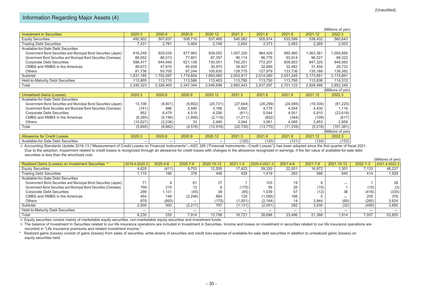|                                                                     |           |           |           |           |           |           |           |           | (Millions of yen) |
|---------------------------------------------------------------------|-----------|-----------|-----------|-----------|-----------|-----------|-----------|-----------|-------------------|
| <b>Investment in Securities</b>                                     | 2020.3    | 2020.6    | 2020.9    | 2020.12   | 2021.3    | 2021.6    | 2021.9    | 2021.12   | 2022.3            |
| <b>Equity Securities</b>                                            | 492,902   | 507,837   | 508,710   | 537,485   | 540,082   | 505,914   | 533,599   | 538,432   | 560,643           |
| <b>Trading Debt Securities</b>                                      | 7,431     | 2,761     | 5,464     | 2,748     | 2,654     | 3,373     | 2,483     | 2,269     | 2,503             |
| Available-for-Sale Debt Securities                                  |           |           |           |           |           |           |           |           |                   |
| Government Bond Securities and Municipal Bond Securities (Japan)    | 816,248   | 829,034   | 877,963   | 939,052   | 1,007,320 | 984,429   | 985,460   | 1,063,361 | 1,059,895         |
| Government Bond Securities and Municipal Bond Securities (Overseas) | 88,052    | 86,513    | 77,801    | 87,357    | 90,114    | 96,776    | 93,914    | 96,527    | 98,322            |
| <b>Corporate Debt Securities</b>                                    | 596,477   | 644,940   | 621,138   | 730,051   | 742,251   | 772,207   | 805,653   | 847,325   | 849,560           |
| CMBS and RMBS in the Americas                                       | 48,672    | 47,910    | 45,458    | 30,970    | 34,457    | 32,869    | 32,482    | 31,450    | 28,732            |
| Others                                                              | 81,736    | 93,700    | 97,244    | 105,630   | 129,775   | 127,979   | 133,736   | 135,188   | 138,382           |
| Subtotal                                                            | 631,185   | ,702,097  | 1,719,604 | ,893,060  | 2,003,917 | 2,014,260 | 2,051,245 | 2,173,851 | 2,174,891         |
| Held-to-Maturity Debt Securities                                    | 113,805   | 113,710   | 113,566   | 113,403   | 113,790   | 113,750   | 113,795   | 113,936   | 114,312           |
| Total                                                               | 2,245,323 | 2,326,405 | 2,347,344 | 2,546,696 | 2,660,443 | 2,637,297 | 2,701,122 | 2,828,488 | 2,852,349         |
|                                                                     |           |           |           |           |           |           |           |           | (Millions of yen) |
| <b>Unrealized Gains (Losses)</b>                                    | 2020.3    | 2020.6    | 2020.9    | 2020.12   | 2021.3    | 2021.6    | 2021.9    | 2021.12   | 2022.3            |
| Available-for-Sale Debt Securities                                  |           |           |           |           |           |           |           |           |                   |
| Government Bond Securities and Municipal Bond Securities (Japan)    | 13,106    | (8,601)   | (9,802)   | (20, 731) | (27, 644) | (26, 299) | (24, 085) | (19,300)  | (81, 220)         |
| Government Bond Securities and Municipal Bond Securities (Overseas) | (741)     | 886       | 2,480     | 3,186     | 3,692     | 4,776     | 4,554     | 4,430     | 1,116             |
| <b>Corporate Debt Securities</b>                                    | 852       | 6,479     | 4,519     | 4,256     | (611)     | 5,044     | 4,551     | 5,910     | (23, 618)         |
| CMBS and RMBS in the Americas                                       | (8, 285)  | (5, 190)  | (1,806)   | (2, 119)  | (1,211)   | (852)     | (344)     | (109)     | (617)             |
| <b>Others</b>                                                       | (10, 627) | (2, 236)  | 33        | 2,490     | 3,044     | 3,561     | 4,085     | 3,853     | 2,958             |
| Total                                                               | (5,695)   | (8,662)   | (4, 576)  | (12, 918) | (22, 730) | (13, 770) | (11, 239) | (5,216)   | (101, 381)        |
|                                                                     |           |           |           |           |           |           |           |           | (Millions of yen) |
| <b>Allowance for Credit Losses</b>                                  | 2020.3    | 2020.6    | 2020.9    | 2020.12   | 2021.3    | 2021.6    | 2021.9    | 2021.12   | 2022.3            |
| Available-for-Sale Debt Securities                                  |           |           |           |           | (120)     | (120)     | (121)     | (124)     | (153)             |

※ Accounting Standards Update 2016-13 ("Measurement of Credit Losses on Financial Instruments"—ASC 326 ("Financial Instruments—Credit Losses")) has been adopted since the first quarter of fiscal 2021. Due to the adoption, impairment related to credit losses is recognized through an allowance for credit losses with changes in the allowance recognized in earnings, if the fair value of available-for-sale debt securities is less than the amortized cost.

|                                                                     |               |          |          |            |              |               |          |          |            |          | (ivililloris or yeri) |
|---------------------------------------------------------------------|---------------|----------|----------|------------|--------------|---------------|----------|----------|------------|----------|-----------------------|
| Realized Gains (Losses) on Investment Securities *                  | 2019.4-2020.3 | 2020.4-6 | 2020.7-9 | 2020.10-12 | $2021.1 - 3$ | 2020.4-2021.3 | 2021.4-6 | 2021.7-9 | 2021.10-12 | 2022.1-3 | 2021.4-2022.3         |
| <b>Equity Securities</b>                                            | 4,620         | (411)    | 9,753    | 12,555     | 17.423       | 39,320        | 22,931   | 16,872   | 1,301      | 7.133    | 48,237                |
| <b>Trading Debt Securities</b>                                      | 1,115         | 166      | 378      | 446        | 429          | 1,419         | 283      | 586      | 645        | 414      | 1,928                 |
| Available-for-Sale Debt Securities                                  |               |          |          |            |              |               |          |          |            |          |                       |
| Government Bond Securities and Municipal Bond Securities (Japan)    | 74            |          | 61       | 37         |              | 103           | 19       |          |            |          | 28                    |
| Government Bond Securities and Municipal Bond Securities (Overseas) | 799           | 210      |          |            | (175)        | 56            | 26       | (15)     |            | (15)     | (3)                   |
| <b>Corporate Debt Securities</b>                                    | 298           | 1.131    | (45)     | 38         | (85)         | 1.039         | 57       | (12)     | 36         | (416)    | (335)                 |
| CMBS and RMBS in the Americas                                       | 454           | 148      | (2, 246) | 884        | 129          | (1,085)       | 166      |          |            | 205      | 376                   |
| Others                                                              | 878           | (993)    |          | (170)      | (1,001)      | (2, 164)      | 14       | 3,944    | (69)       | (265)    | 3,624                 |
| Subtotal                                                            | 2,500         | 500      | (2, 217) | 797        | (1, 131)     | (2,051)       | 282      | 3,930    | (32)       | (490)    | 3,690                 |
| Held-to-Maturity Debt Securities                                    |               |          |          |            |              |               |          |          |            |          |                       |
| Total                                                               | 8,235         | 255      | 7,914    | 13.798     | 16.721       | 38.688        | 23.496   | 21.388   | 1.914      | 7,057    | 53.855                |

※ Equity securities consist mainly of marketable equity securities, non-marketable equity securities and investment funds.

※ The balance of Investment In Securities related to our life insurance operations are included in Investment in Securities. Income and losses on investment in securities related to our life insurance operations are recorded in "Life insurance premiums and related investment income."

\* Realized gains (losses) consist of gains (losses) from sales of securities, write-downs of securities and credit loss expense of available-for-sale debt securities in addition to unrealized gains (losses) on equity securities held.

(Millions of  $\mathcal{L}$  year)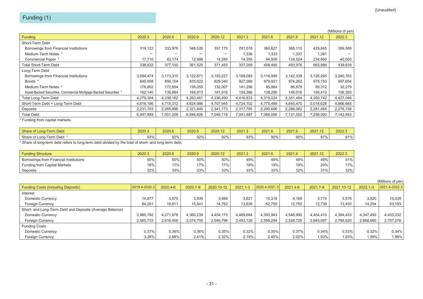|                                                                  |           |           |           |           |           |           |           |           | (Millions of yen) |
|------------------------------------------------------------------|-----------|-----------|-----------|-----------|-----------|-----------|-----------|-----------|-------------------|
| Funding                                                          | 2020.3    | 2020.6    | 2020.9    | 2020.12   | 2021.3    | 2021.6    | 2021.9    | 2021.12   | 2022.3            |
| Short-Term Debt                                                  |           |           |           |           |           |           |           |           |                   |
| Borrowings from Financial Institutions                           | 319.122   | 333,976   | 348,526   | 357,170   | 291,578   | 360,627   | 368,115   | 429,845   | 399,589           |
| Medium-Term Notes *                                              |           |           |           |           | 1,336     | 1,333     | 1,337     | 1,381     |                   |
| Commercial Paper *                                               | 17.710    | 43,174    | 12,999    | 14,285    | 14,355    | 94,505    | 124,524   | 234,660   | 40,050            |
| <b>Total Short-Term Debt</b>                                     | 336,832   | 377,150   | 361,525   | 371,455   | 307.269   | 456.465   | 493.976   | 665,886   | 439,639           |
| Long-Term Debt                                                   |           |           |           |           |           |           |           |           |                   |
| Borrowings from Financial Institutions                           | 3,094,474 | 3,173,310 | 3,122,871 | 3,193,227 | 3,189,083 | 3,114,949 | 3,142,338 | 3,126,265 | 3,240,763         |
| Bonds *                                                          | 845,938   | 856,104   | 835,622   | 829,340   | 927,088   | 979,921   | 974,262   | 976,753   | 997,654           |
| Medium-Term Notes *                                              | 176,802   | 172,854   | 138,055   | 132,007   | 141,296   | 85,864    | 86,878    | 89,312    | 32,279            |
| Asset-Backed Securities, Commercial Mortgage Backed Securities * | 162,140   | 135,894   | 166,913   | 181,916   | 159,366   | 138,290   | 148,016   | 158,412   | 156,350           |
| <b>Total Long-Term Debt</b>                                      | 4,279,354 | 4,338,162 | 4,263,461 | 4,336,490 | 4,416,833 | 4,319,024 | 4,351,494 | 4,350,742 | 4,427,046         |
| Short-Term Debt + Long-Term Debt                                 | 4,616,186 | 4,715,312 | 4,624,986 | 4,707,945 | 4,724,102 | 4,775,489 | 4,845,470 | 5,016,628 | 4,866,685         |
| Deposits                                                         | 2,231,703 | 2,285,896 | 2,321,840 | 2,341,173 | 2,317,785 | 2,290,606 | 2,286,082 | 2,281,464 | 2,276,158         |
| <b>Total Debt</b>                                                | 6.847.889 | 7,001,208 | 6,946,826 | 7.049.118 | 7,041,887 | 7.066.095 | 7,131,552 | 7,298,092 | 7,142,843         |

\* Funding from capital markets.

| Share of Long-Term Debt   | 2020.3 | 2020.6 | 2020.9 | 2020.12 | 2021.3 | 2021.6 | 2021.9 | 0024<br>$\sqrt{2}$<br>2021.12 | 2022.3       |
|---------------------------|--------|--------|--------|---------|--------|--------|--------|-------------------------------|--------------|
| Share of Long-Term Debt ' | 93%    | 92%    | 92%    | 92%     | 93%    | 90%    | 90%    | 070/<br>01                    | 0.10<br>. ال |

\* Share of long-term debt refers to long-term debt divided by the total of short- and long-term debt.

| <b>Funding Structure</b>               | 2020.3 | 2020.6 | 2020.9 | 2020.12 | 2021.3 | 2021.6 | 2021.9 | 2021.12 | 2022.3 |
|----------------------------------------|--------|--------|--------|---------|--------|--------|--------|---------|--------|
| Borrowings from Financial Institutions | 50%    | 50%    | 50%    | 50%     | 49%    | 49%    | 49%    | 49%     | 51%    |
| <b>Funding from Capital Markets</b>    | 18%    | 17%    | $17\%$ | 17%     | 18%    | 18%    | 19%    | 20%     | 17%    |
| Deposits                               | 32%    | 33%    | 33%    | 33%     | 33%    | 33%    | 32%    | 31%     | 32%    |

|                                                          |               |           |           |            |              |               |           |           |            |           | (Millions of yen) |
|----------------------------------------------------------|---------------|-----------|-----------|------------|--------------|---------------|-----------|-----------|------------|-----------|-------------------|
| <b>Funding Costs (including Deposits)</b>                | 2019.4-2020.3 | 2020.4-6  | 2020.7-9  | 2020.10-12 | $2021.1 - 3$ | 2020.4-2021.3 | 2021.4-6  | 2021.7-9  | 2021.10-12 | 2022.1-3  | 2021.4-2022.3     |
| Interest                                                 |               |           |           |            |              |               |           |           |            |           |                   |
| Domestic Currency                                        | 14,877        | 3,870     | 3,939     | 3,888      | 3,621        | 15,318        | 4,169     | 3,774     | 3,576      | 3,520     | 15,039            |
| <b>Foreign Currency</b>                                  | 84,261        | 18,811    | 15,541    | 14,762     | 13,636       | 62,750        | 12,750    | 12,739    | 13,450     | 14,254    | 53,193            |
| Short- and Long-Term Debt and Deposits (Average Balance) |               |           |           |            |              |               |           |           |            |           |                   |
| Domestic Currency                                        | 3,980,192     | 4,271,676 | 4,360,239 | 4,454,173  | 4,489,684    | 4,393,943     | 4,546,990 | 4.454.410 | 4,384,433  | 4,347,493 | 4,433,332         |
| Foreign Currency                                         | 2,565,733     | 2,616,456 | 2,574,755 | 2,540,796  | 2,493,126    | 2,556,284     | 2,528,725 | 2.645.097 | 2,786,620  | 2,868,660 | 2,707,276         |
| <b>Funding Costs</b>                                     |               |           |           |            |              |               |           |           |            |           |                   |
| Domestic Currency                                        | 0.37%         | 0.36%     | 0.36%     | 0.35%      | 0.32%        | 0.35%         | 0.37%     | 0.34%     | 0.33%      | 0.32%     | 0.34%             |
| <b>Foreign Currency</b>                                  | 3.28%         | 2.88%     | 2.41%     | 2.32%      | 2.19%        | 2.45%         | 2.02%     | 1.93%     | 1.93%      | 1.99%     | 1.96%             |